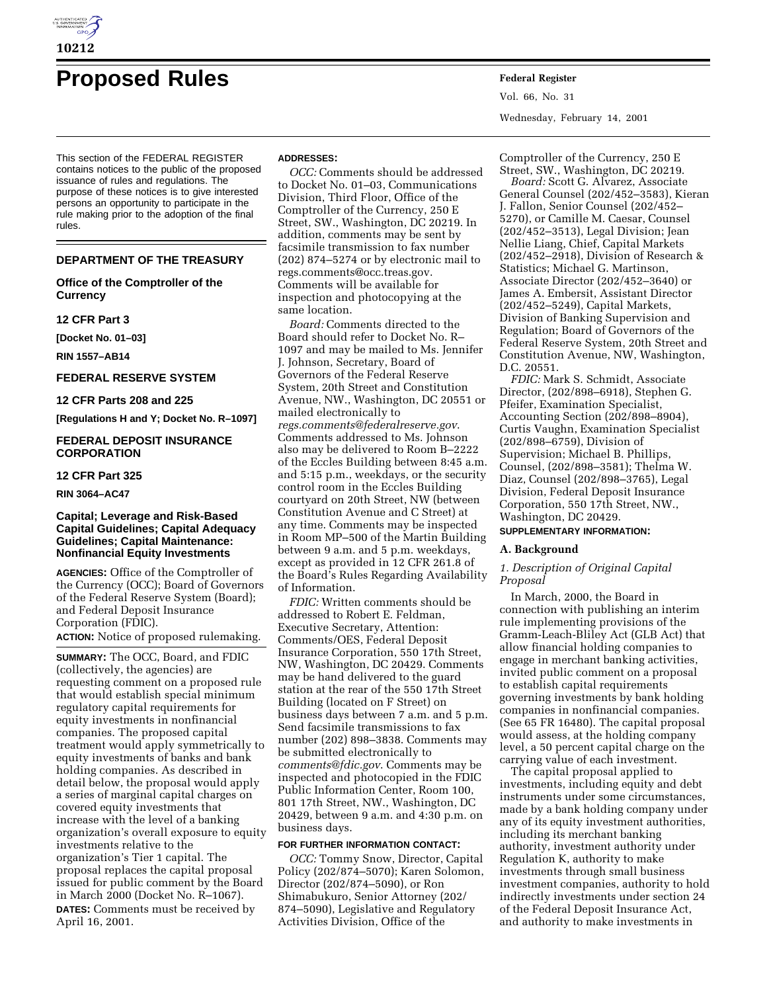

# **Proposed Rules Federal Register**

This section of the FEDERAL REGISTER contains notices to the public of the proposed issuance of rules and regulations. The purpose of these notices is to give interested persons an opportunity to participate in the rule making prior to the adoption of the final rules.

## **DEPARTMENT OF THE TREASURY**

**Office of the Comptroller of the Currency**

#### **12 CFR Part 3**

**[Docket No. 01–03]**

**RIN 1557–AB14**

# **FEDERAL RESERVE SYSTEM**

**12 CFR Parts 208 and 225**

**[Regulations H and Y; Docket No. R–1097]**

## **FEDERAL DEPOSIT INSURANCE CORPORATION**

# **12 CFR Part 325**

**RIN 3064–AC47**

## **Capital; Leverage and Risk-Based Capital Guidelines; Capital Adequacy Guidelines; Capital Maintenance: Nonfinancial Equity Investments**

**AGENCIES:** Office of the Comptroller of the Currency (OCC); Board of Governors of the Federal Reserve System (Board); and Federal Deposit Insurance Corporation (FDIC).

**ACTION:** Notice of proposed rulemaking.

**SUMMARY:** The OCC, Board, and FDIC (collectively, the agencies) are requesting comment on a proposed rule that would establish special minimum regulatory capital requirements for equity investments in nonfinancial companies. The proposed capital treatment would apply symmetrically to equity investments of banks and bank holding companies. As described in detail below, the proposal would apply a series of marginal capital charges on covered equity investments that increase with the level of a banking organization's overall exposure to equity investments relative to the organization's Tier 1 capital. The proposal replaces the capital proposal issued for public comment by the Board in March 2000 (Docket No. R–1067). **DATES:** Comments must be received by April 16, 2001.

#### **ADDRESSES:**

*OCC:* Comments should be addressed to Docket No. 01–03, Communications Division, Third Floor, Office of the Comptroller of the Currency, 250 E Street, SW., Washington, DC 20219. In addition, comments may be sent by facsimile transmission to fax number (202) 874–5274 or by electronic mail to regs.comments@occ.treas.gov. Comments will be available for inspection and photocopying at the same location.

*Board:* Comments directed to the Board should refer to Docket No. R– 1097 and may be mailed to Ms. Jennifer J. Johnson, Secretary, Board of Governors of the Federal Reserve System, 20th Street and Constitution Avenue, NW., Washington, DC 20551 or mailed electronically to *regs.comments@federalreserve.gov*. Comments addressed to Ms. Johnson also may be delivered to Room B–2222 of the Eccles Building between 8:45 a.m. and 5:15 p.m., weekdays, or the security control room in the Eccles Building courtyard on 20th Street, NW (between Constitution Avenue and C Street) at any time. Comments may be inspected in Room MP–500 of the Martin Building between 9 a.m. and 5 p.m. weekdays, except as provided in 12 CFR 261.8 of the Board's Rules Regarding Availability of Information.

*FDIC:* Written comments should be addressed to Robert E. Feldman, Executive Secretary, Attention: Comments/OES, Federal Deposit Insurance Corporation, 550 17th Street, NW, Washington, DC 20429. Comments may be hand delivered to the guard station at the rear of the 550 17th Street Building (located on F Street) on business days between 7 a.m. and 5 p.m. Send facsimile transmissions to fax number (202) 898–3838. Comments may be submitted electronically to *comments@fdic.gov*. Comments may be inspected and photocopied in the FDIC Public Information Center, Room 100, 801 17th Street, NW., Washington, DC 20429, between 9 a.m. and 4:30 p.m. on business days.

#### **FOR FURTHER INFORMATION CONTACT:**

*OCC:* Tommy Snow, Director, Capital Policy (202/874–5070); Karen Solomon, Director (202/874–5090), or Ron Shimabukuro, Senior Attorney (202/ 874–5090), Legislative and Regulatory Activities Division, Office of the

Vol. 66, No. 31 Wednesday, February 14, 2001

Comptroller of the Currency, 250 E Street, SW., Washington, DC 20219. *Board:* Scott G. Alvarez, Associate

General Counsel (202/452–3583), Kieran J. Fallon, Senior Counsel (202/452– 5270), or Camille M. Caesar, Counsel (202/452–3513), Legal Division; Jean Nellie Liang, Chief, Capital Markets (202/452–2918), Division of Research & Statistics; Michael G. Martinson, Associate Director (202/452–3640) or James A. Embersit, Assistant Director (202/452–5249), Capital Markets, Division of Banking Supervision and Regulation; Board of Governors of the Federal Reserve System, 20th Street and Constitution Avenue, NW, Washington, D.C. 20551.

*FDIC:* Mark S. Schmidt, Associate Director, (202/898–6918), Stephen G. Pfeifer, Examination Specialist, Accounting Section (202/898–8904), Curtis Vaughn, Examination Specialist (202/898–6759), Division of Supervision; Michael B. Phillips, Counsel, (202/898–3581); Thelma W. Diaz, Counsel (202/898–3765), Legal Division, Federal Deposit Insurance Corporation, 550 17th Street, NW., Washington, DC 20429.

## **SUPPLEMENTARY INFORMATION:**

# **A. Background**

## *1. Description of Original Capital Proposal*

In March, 2000, the Board in connection with publishing an interim rule implementing provisions of the Gramm-Leach-Bliley Act (GLB Act) that allow financial holding companies to engage in merchant banking activities, invited public comment on a proposal to establish capital requirements governing investments by bank holding companies in nonfinancial companies. (See 65 FR 16480). The capital proposal would assess, at the holding company level, a 50 percent capital charge on the carrying value of each investment.

The capital proposal applied to investments, including equity and debt instruments under some circumstances, made by a bank holding company under any of its equity investment authorities, including its merchant banking authority, investment authority under Regulation K, authority to make investments through small business investment companies, authority to hold indirectly investments under section 24 of the Federal Deposit Insurance Act, and authority to make investments in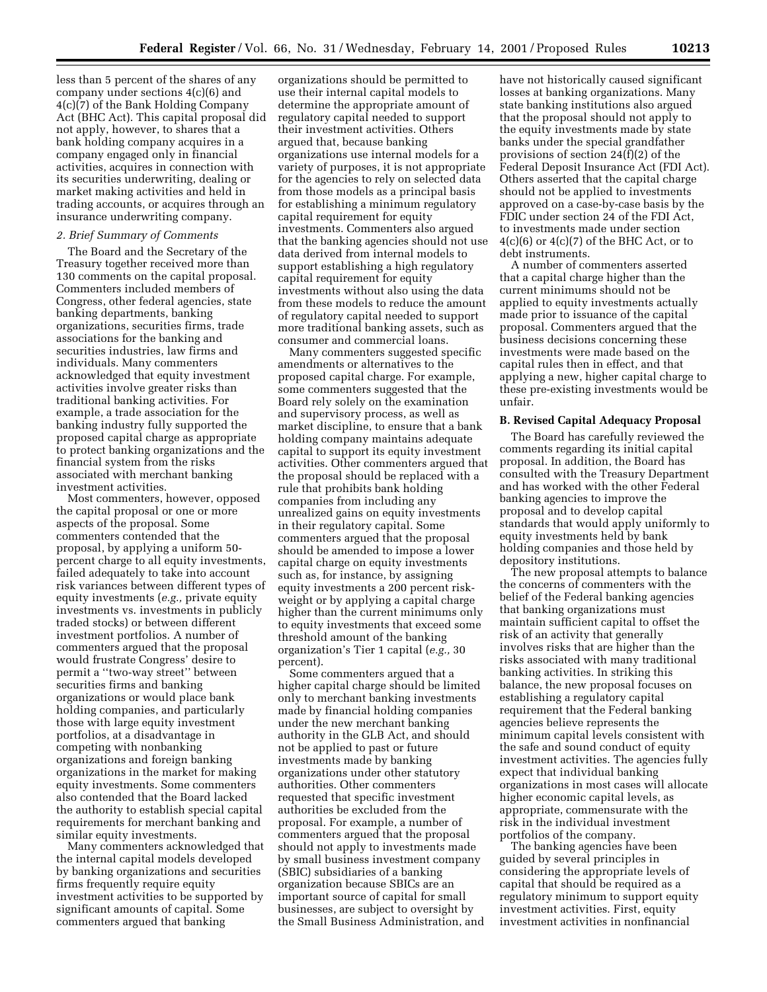less than 5 percent of the shares of any company under sections 4(c)(6) and 4(c)(7) of the Bank Holding Company Act (BHC Act). This capital proposal did not apply, however, to shares that a bank holding company acquires in a company engaged only in financial activities, acquires in connection with its securities underwriting, dealing or market making activities and held in trading accounts, or acquires through an insurance underwriting company.

## *2. Brief Summary of Comments*

The Board and the Secretary of the Treasury together received more than 130 comments on the capital proposal. Commenters included members of Congress, other federal agencies, state banking departments, banking organizations, securities firms, trade associations for the banking and securities industries, law firms and individuals. Many commenters acknowledged that equity investment activities involve greater risks than traditional banking activities. For example, a trade association for the banking industry fully supported the proposed capital charge as appropriate to protect banking organizations and the financial system from the risks associated with merchant banking investment activities.

Most commenters, however, opposed the capital proposal or one or more aspects of the proposal. Some commenters contended that the proposal, by applying a uniform 50 percent charge to all equity investments, failed adequately to take into account risk variances between different types of equity investments (*e.g.,* private equity investments vs. investments in publicly traded stocks) or between different investment portfolios. A number of commenters argued that the proposal would frustrate Congress' desire to permit a ''two-way street'' between securities firms and banking organizations or would place bank holding companies, and particularly those with large equity investment portfolios, at a disadvantage in competing with nonbanking organizations and foreign banking organizations in the market for making equity investments. Some commenters also contended that the Board lacked the authority to establish special capital requirements for merchant banking and similar equity investments.

Many commenters acknowledged that the internal capital models developed by banking organizations and securities firms frequently require equity investment activities to be supported by significant amounts of capital. Some commenters argued that banking

organizations should be permitted to use their internal capital models to determine the appropriate amount of regulatory capital needed to support their investment activities. Others argued that, because banking organizations use internal models for a variety of purposes, it is not appropriate for the agencies to rely on selected data from those models as a principal basis for establishing a minimum regulatory capital requirement for equity investments. Commenters also argued that the banking agencies should not use data derived from internal models to support establishing a high regulatory capital requirement for equity investments without also using the data from these models to reduce the amount of regulatory capital needed to support more traditional banking assets, such as consumer and commercial loans.

Many commenters suggested specific amendments or alternatives to the proposed capital charge. For example, some commenters suggested that the Board rely solely on the examination and supervisory process, as well as market discipline, to ensure that a bank holding company maintains adequate capital to support its equity investment activities. Other commenters argued that the proposal should be replaced with a rule that prohibits bank holding companies from including any unrealized gains on equity investments in their regulatory capital. Some commenters argued that the proposal should be amended to impose a lower capital charge on equity investments such as, for instance, by assigning equity investments a 200 percent riskweight or by applying a capital charge higher than the current minimums only to equity investments that exceed some threshold amount of the banking organization's Tier 1 capital (*e.g.,* 30 percent).

Some commenters argued that a higher capital charge should be limited only to merchant banking investments made by financial holding companies under the new merchant banking authority in the GLB Act, and should not be applied to past or future investments made by banking organizations under other statutory authorities. Other commenters requested that specific investment authorities be excluded from the proposal. For example, a number of commenters argued that the proposal should not apply to investments made by small business investment company (SBIC) subsidiaries of a banking organization because SBICs are an important source of capital for small businesses, are subject to oversight by the Small Business Administration, and

have not historically caused significant losses at banking organizations. Many state banking institutions also argued that the proposal should not apply to the equity investments made by state banks under the special grandfather provisions of section 24(f)(2) of the Federal Deposit Insurance Act (FDI Act). Others asserted that the capital charge should not be applied to investments approved on a case-by-case basis by the FDIC under section 24 of the FDI Act, to investments made under section  $4(c)(6)$  or  $4(c)(7)$  of the BHC Act, or to debt instruments.

A number of commenters asserted that a capital charge higher than the current minimums should not be applied to equity investments actually made prior to issuance of the capital proposal. Commenters argued that the business decisions concerning these investments were made based on the capital rules then in effect, and that applying a new, higher capital charge to these pre-existing investments would be unfair.

#### **B. Revised Capital Adequacy Proposal**

The Board has carefully reviewed the comments regarding its initial capital proposal. In addition, the Board has consulted with the Treasury Department and has worked with the other Federal banking agencies to improve the proposal and to develop capital standards that would apply uniformly to equity investments held by bank holding companies and those held by depository institutions.

The new proposal attempts to balance the concerns of commenters with the belief of the Federal banking agencies that banking organizations must maintain sufficient capital to offset the risk of an activity that generally involves risks that are higher than the risks associated with many traditional banking activities. In striking this balance, the new proposal focuses on establishing a regulatory capital requirement that the Federal banking agencies believe represents the minimum capital levels consistent with the safe and sound conduct of equity investment activities. The agencies fully expect that individual banking organizations in most cases will allocate higher economic capital levels, as appropriate, commensurate with the risk in the individual investment portfolios of the company.

The banking agencies have been guided by several principles in considering the appropriate levels of capital that should be required as a regulatory minimum to support equity investment activities. First, equity investment activities in nonfinancial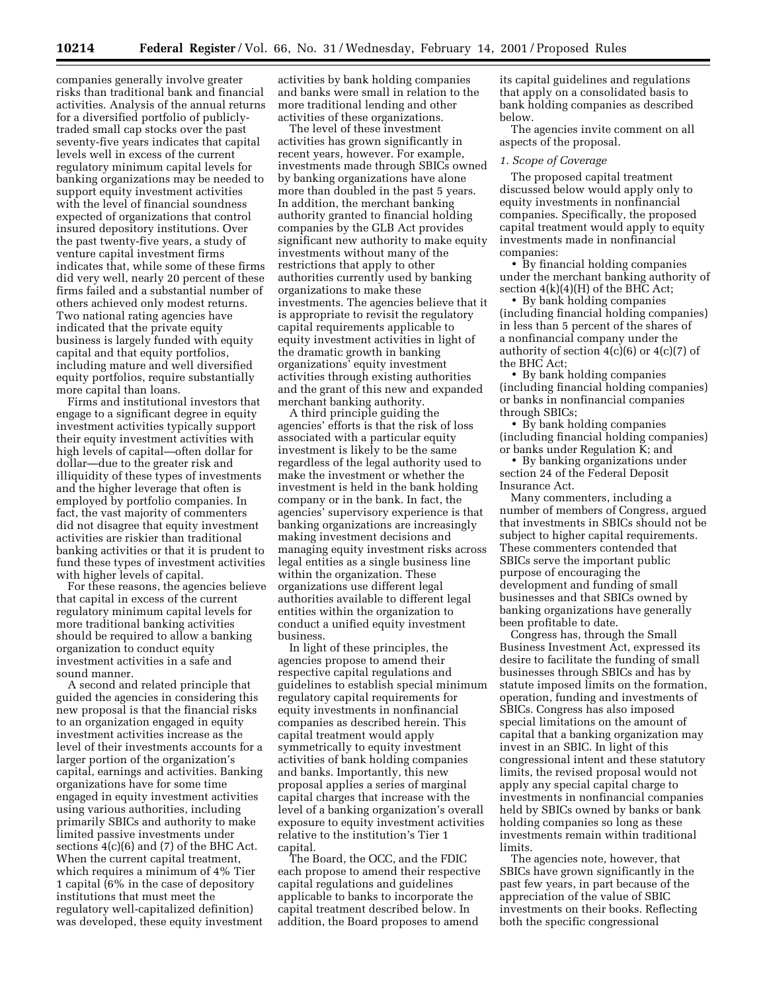companies generally involve greater risks than traditional bank and financial activities. Analysis of the annual returns for a diversified portfolio of publiclytraded small cap stocks over the past seventy-five years indicates that capital levels well in excess of the current regulatory minimum capital levels for banking organizations may be needed to support equity investment activities with the level of financial soundness expected of organizations that control insured depository institutions. Over the past twenty-five years, a study of venture capital investment firms indicates that, while some of these firms did very well, nearly 20 percent of these firms failed and a substantial number of others achieved only modest returns. Two national rating agencies have indicated that the private equity business is largely funded with equity capital and that equity portfolios, including mature and well diversified equity portfolios, require substantially more capital than loans.

Firms and institutional investors that engage to a significant degree in equity investment activities typically support their equity investment activities with high levels of capital—often dollar for dollar—due to the greater risk and illiquidity of these types of investments and the higher leverage that often is employed by portfolio companies. In fact, the vast majority of commenters did not disagree that equity investment activities are riskier than traditional banking activities or that it is prudent to fund these types of investment activities with higher levels of capital.

For these reasons, the agencies believe that capital in excess of the current regulatory minimum capital levels for more traditional banking activities should be required to allow a banking organization to conduct equity investment activities in a safe and sound manner.

A second and related principle that guided the agencies in considering this new proposal is that the financial risks to an organization engaged in equity investment activities increase as the level of their investments accounts for a larger portion of the organization's capital, earnings and activities. Banking organizations have for some time engaged in equity investment activities using various authorities, including primarily SBICs and authority to make limited passive investments under sections  $4(c)(6)$  and  $(7)$  of the BHC Act. When the current capital treatment, which requires a minimum of 4% Tier 1 capital (6% in the case of depository institutions that must meet the regulatory well-capitalized definition) was developed, these equity investment

activities by bank holding companies and banks were small in relation to the more traditional lending and other activities of these organizations.

The level of these investment activities has grown significantly in recent years, however. For example, investments made through SBICs owned by banking organizations have alone more than doubled in the past 5 years. In addition, the merchant banking authority granted to financial holding companies by the GLB Act provides significant new authority to make equity investments without many of the restrictions that apply to other authorities currently used by banking organizations to make these investments. The agencies believe that it is appropriate to revisit the regulatory capital requirements applicable to equity investment activities in light of the dramatic growth in banking organizations' equity investment activities through existing authorities and the grant of this new and expanded merchant banking authority.

A third principle guiding the agencies' efforts is that the risk of loss associated with a particular equity investment is likely to be the same regardless of the legal authority used to make the investment or whether the investment is held in the bank holding company or in the bank. In fact, the agencies' supervisory experience is that banking organizations are increasingly making investment decisions and managing equity investment risks across legal entities as a single business line within the organization. These organizations use different legal authorities available to different legal entities within the organization to conduct a unified equity investment business.

In light of these principles, the agencies propose to amend their respective capital regulations and guidelines to establish special minimum regulatory capital requirements for equity investments in nonfinancial companies as described herein. This capital treatment would apply symmetrically to equity investment activities of bank holding companies and banks. Importantly, this new proposal applies a series of marginal capital charges that increase with the level of a banking organization's overall exposure to equity investment activities relative to the institution's Tier 1 capital.

The Board, the OCC, and the FDIC each propose to amend their respective capital regulations and guidelines applicable to banks to incorporate the capital treatment described below. In addition, the Board proposes to amend

its capital guidelines and regulations that apply on a consolidated basis to bank holding companies as described below.

The agencies invite comment on all aspects of the proposal.

#### *1. Scope of Coverage*

The proposed capital treatment discussed below would apply only to equity investments in nonfinancial companies. Specifically, the proposed capital treatment would apply to equity investments made in nonfinancial companies:

• By financial holding companies under the merchant banking authority of section  $4(k)(4)(H)$  of the BHC Act;

• By bank holding companies (including financial holding companies) in less than 5 percent of the shares of a nonfinancial company under the authority of section  $4(c)(6)$  or  $4(c)(7)$  of the BHC Act;

• By bank holding companies (including financial holding companies) or banks in nonfinancial companies through SBICs;

• By bank holding companies (including financial holding companies) or banks under Regulation K; and

• By banking organizations under section 24 of the Federal Deposit Insurance Act.

Many commenters, including a number of members of Congress, argued that investments in SBICs should not be subject to higher capital requirements. These commenters contended that SBICs serve the important public purpose of encouraging the development and funding of small businesses and that SBICs owned by banking organizations have generally been profitable to date.

Congress has, through the Small Business Investment Act, expressed its desire to facilitate the funding of small businesses through SBICs and has by statute imposed limits on the formation, operation, funding and investments of SBICs. Congress has also imposed special limitations on the amount of capital that a banking organization may invest in an SBIC. In light of this congressional intent and these statutory limits, the revised proposal would not apply any special capital charge to investments in nonfinancial companies held by SBICs owned by banks or bank holding companies so long as these investments remain within traditional limits.

The agencies note, however, that SBICs have grown significantly in the past few years, in part because of the appreciation of the value of SBIC investments on their books. Reflecting both the specific congressional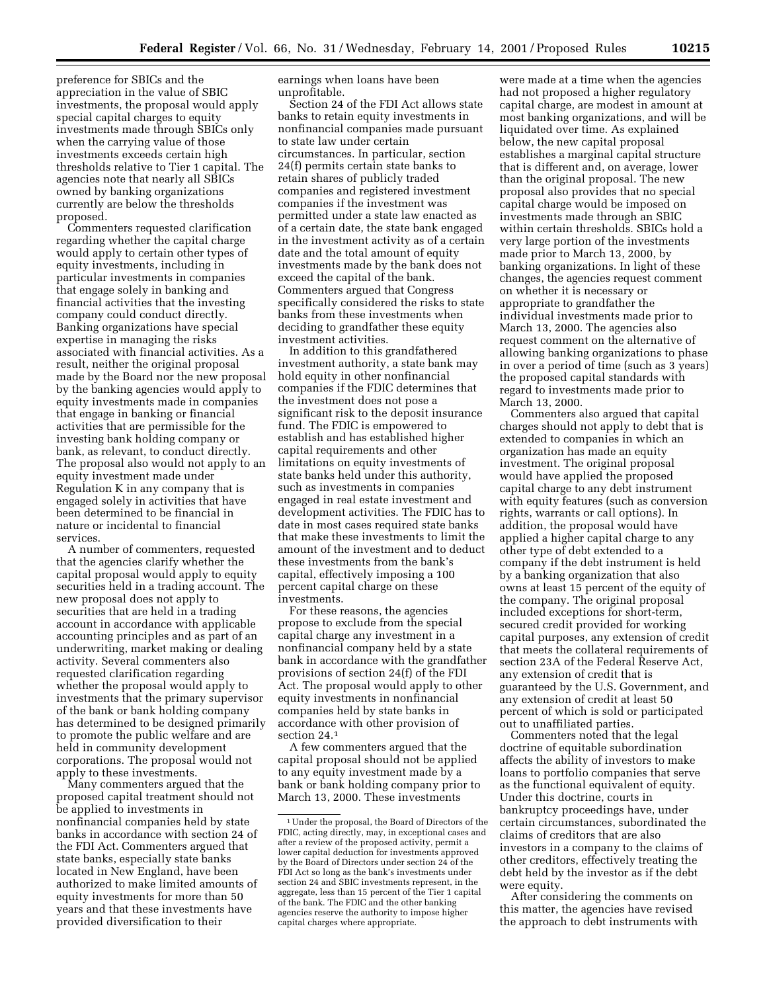preference for SBICs and the appreciation in the value of SBIC investments, the proposal would apply special capital charges to equity investments made through SBICs only when the carrying value of those investments exceeds certain high thresholds relative to Tier 1 capital. The agencies note that nearly all SBICs owned by banking organizations currently are below the thresholds proposed.

Commenters requested clarification regarding whether the capital charge would apply to certain other types of equity investments, including in particular investments in companies that engage solely in banking and financial activities that the investing company could conduct directly. Banking organizations have special expertise in managing the risks associated with financial activities. As a result, neither the original proposal made by the Board nor the new proposal by the banking agencies would apply to equity investments made in companies that engage in banking or financial activities that are permissible for the investing bank holding company or bank, as relevant, to conduct directly. The proposal also would not apply to an equity investment made under Regulation K in any company that is engaged solely in activities that have been determined to be financial in nature or incidental to financial services.

A number of commenters, requested that the agencies clarify whether the capital proposal would apply to equity securities held in a trading account. The new proposal does not apply to securities that are held in a trading account in accordance with applicable accounting principles and as part of an underwriting, market making or dealing activity. Several commenters also requested clarification regarding whether the proposal would apply to investments that the primary supervisor of the bank or bank holding company has determined to be designed primarily to promote the public welfare and are held in community development corporations. The proposal would not apply to these investments.

Many commenters argued that the proposed capital treatment should not be applied to investments in nonfinancial companies held by state banks in accordance with section 24 of the FDI Act. Commenters argued that state banks, especially state banks located in New England, have been authorized to make limited amounts of equity investments for more than 50 years and that these investments have provided diversification to their

earnings when loans have been unprofitable.

Section 24 of the FDI Act allows state banks to retain equity investments in nonfinancial companies made pursuant to state law under certain circumstances. In particular, section 24(f) permits certain state banks to retain shares of publicly traded companies and registered investment companies if the investment was permitted under a state law enacted as of a certain date, the state bank engaged in the investment activity as of a certain date and the total amount of equity investments made by the bank does not exceed the capital of the bank. Commenters argued that Congress specifically considered the risks to state banks from these investments when deciding to grandfather these equity investment activities.

In addition to this grandfathered investment authority, a state bank may hold equity in other nonfinancial companies if the FDIC determines that the investment does not pose a significant risk to the deposit insurance fund. The FDIC is empowered to establish and has established higher capital requirements and other limitations on equity investments of state banks held under this authority, such as investments in companies engaged in real estate investment and development activities. The FDIC has to date in most cases required state banks that make these investments to limit the amount of the investment and to deduct these investments from the bank's capital, effectively imposing a 100 percent capital charge on these investments.

For these reasons, the agencies propose to exclude from the special capital charge any investment in a nonfinancial company held by a state bank in accordance with the grandfather provisions of section 24(f) of the FDI Act. The proposal would apply to other equity investments in nonfinancial companies held by state banks in accordance with other provision of section 24.1

A few commenters argued that the capital proposal should not be applied to any equity investment made by a bank or bank holding company prior to March 13, 2000. These investments

were made at a time when the agencies had not proposed a higher regulatory capital charge, are modest in amount at most banking organizations, and will be liquidated over time. As explained below, the new capital proposal establishes a marginal capital structure that is different and, on average, lower than the original proposal. The new proposal also provides that no special capital charge would be imposed on investments made through an SBIC within certain thresholds. SBICs hold a very large portion of the investments made prior to March 13, 2000, by banking organizations. In light of these changes, the agencies request comment on whether it is necessary or appropriate to grandfather the individual investments made prior to March 13, 2000. The agencies also request comment on the alternative of allowing banking organizations to phase in over a period of time (such as 3 years) the proposed capital standards with regard to investments made prior to March 13, 2000.

Commenters also argued that capital charges should not apply to debt that is extended to companies in which an organization has made an equity investment. The original proposal would have applied the proposed capital charge to any debt instrument with equity features (such as conversion rights, warrants or call options). In addition, the proposal would have applied a higher capital charge to any other type of debt extended to a company if the debt instrument is held by a banking organization that also owns at least 15 percent of the equity of the company. The original proposal included exceptions for short-term, secured credit provided for working capital purposes, any extension of credit that meets the collateral requirements of section 23A of the Federal Reserve Act, any extension of credit that is guaranteed by the U.S. Government, and any extension of credit at least 50 percent of which is sold or participated out to unaffiliated parties.

Commenters noted that the legal doctrine of equitable subordination affects the ability of investors to make loans to portfolio companies that serve as the functional equivalent of equity. Under this doctrine, courts in bankruptcy proceedings have, under certain circumstances, subordinated the claims of creditors that are also investors in a company to the claims of other creditors, effectively treating the debt held by the investor as if the debt were equity.

After considering the comments on this matter, the agencies have revised the approach to debt instruments with

<sup>1</sup>Under the proposal, the Board of Directors of the FDIC, acting directly, may, in exceptional cases and after a review of the proposed activity, permit a lower capital deduction for investments approved by the Board of Directors under section 24 of the FDI Act so long as the bank's investments under section 24 and SBIC investments represent, in the aggregate, less than 15 percent of the Tier 1 capital of the bank. The FDIC and the other banking agencies reserve the authority to impose higher capital charges where appropriate.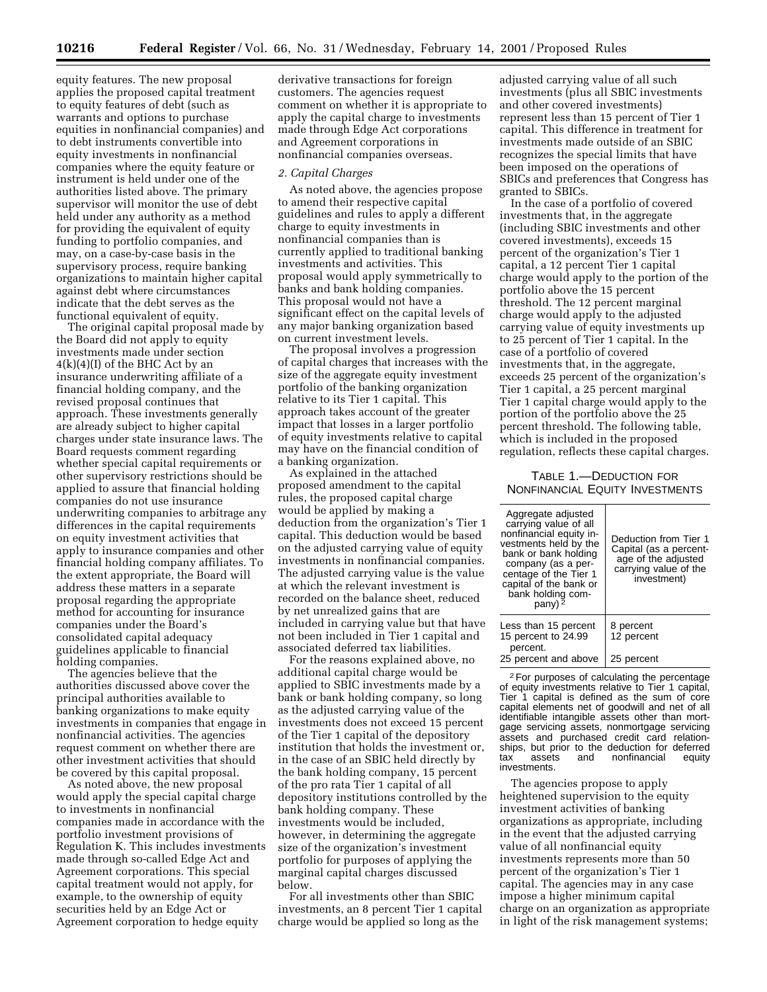equity features. The new proposal applies the proposed capital treatment to equity features of debt (such as warrants and options to purchase equities in nonfinancial companies) and to debt instruments convertible into equity investments in nonfinancial companies where the equity feature or instrument is held under one of the authorities listed above. The primary supervisor will monitor the use of debt held under any authority as a method for providing the equivalent of equity funding to portfolio companies, and may, on a case-by-case basis in the supervisory process, require banking organizations to maintain higher capital against debt where circumstances indicate that the debt serves as the functional equivalent of equity.

The original capital proposal made by the Board did not apply to equity investments made under section 4(k)(4)(I) of the BHC Act by an insurance underwriting affiliate of a financial holding company, and the revised proposal continues that approach. These investments generally are already subject to higher capital charges under state insurance laws. The Board requests comment regarding whether special capital requirements or other supervisory restrictions should be applied to assure that financial holding companies do not use insurance underwriting companies to arbitrage any differences in the capital requirements on equity investment activities that apply to insurance companies and other financial holding company affiliates. To the extent appropriate, the Board will address these matters in a separate proposal regarding the appropriate method for accounting for insurance companies under the Board's consolidated capital adequacy guidelines applicable to financial holding companies.

The agencies believe that the authorities discussed above cover the principal authorities available to banking organizations to make equity investments in companies that engage in nonfinancial activities. The agencies request comment on whether there are other investment activities that should be covered by this capital proposal.

As noted above, the new proposal would apply the special capital charge to investments in nonfinancial companies made in accordance with the portfolio investment provisions of Regulation K. This includes investments made through so-called Edge Act and Agreement corporations. This special capital treatment would not apply, for example, to the ownership of equity securities held by an Edge Act or Agreement corporation to hedge equity

derivative transactions for foreign customers. The agencies request comment on whether it is appropriate to apply the capital charge to investments made through Edge Act corporations and Agreement corporations in nonfinancial companies overseas.

#### *2. Capital Charges*

As noted above, the agencies propose to amend their respective capital guidelines and rules to apply a different charge to equity investments in nonfinancial companies than is currently applied to traditional banking investments and activities. This proposal would apply symmetrically to banks and bank holding companies. This proposal would not have a significant effect on the capital levels of any major banking organization based on current investment levels.

The proposal involves a progression of capital charges that increases with the size of the aggregate equity investment portfolio of the banking organization relative to its Tier 1 capital. This approach takes account of the greater impact that losses in a larger portfolio of equity investments relative to capital may have on the financial condition of a banking organization.

As explained in the attached proposed amendment to the capital rules, the proposed capital charge would be applied by making a deduction from the organization's Tier 1 capital. This deduction would be based on the adjusted carrying value of equity investments in nonfinancial companies. The adjusted carrying value is the value at which the relevant investment is recorded on the balance sheet, reduced by net unrealized gains that are included in carrying value but that have not been included in Tier 1 capital and associated deferred tax liabilities.

For the reasons explained above, no additional capital charge would be applied to SBIC investments made by a bank or bank holding company, so long as the adjusted carrying value of the investments does not exceed 15 percent of the Tier 1 capital of the depository institution that holds the investment or, in the case of an SBIC held directly by the bank holding company, 15 percent of the pro rata Tier 1 capital of all depository institutions controlled by the bank holding company. These investments would be included, however, in determining the aggregate size of the organization's investment portfolio for purposes of applying the marginal capital charges discussed below.

For all investments other than SBIC investments, an 8 percent Tier 1 capital charge would be applied so long as the

adjusted carrying value of all such investments (plus all SBIC investments and other covered investments) represent less than 15 percent of Tier 1 capital. This difference in treatment for investments made outside of an SBIC recognizes the special limits that have been imposed on the operations of SBICs and preferences that Congress has granted to SBICs.

In the case of a portfolio of covered investments that, in the aggregate (including SBIC investments and other covered investments), exceeds 15 percent of the organization's Tier 1 capital, a 12 percent Tier 1 capital charge would apply to the portion of the portfolio above the 15 percent threshold. The 12 percent marginal charge would apply to the adjusted carrying value of equity investments up to 25 percent of Tier 1 capital. In the case of a portfolio of covered investments that, in the aggregate, exceeds 25 percent of the organization's Tier 1 capital, a 25 percent marginal Tier 1 capital charge would apply to the portion of the portfolio above the 25 percent threshold. The following table, which is included in the proposed regulation, reflects these capital charges.

# TABLE 1.—DEDUCTION FOR NONFINANCIAL EQUITY INVESTMENTS

| Aggregate adjusted<br>carrying value of all<br>nonfinancial equity in-<br>vestments held by the<br>bank or bank holding<br>company (as a per-<br>centage of the Tier 1<br>capital of the bank or<br>bank holding com-<br>pany) $\frac{5}{2}$ | Deduction from Tier 1<br>Capital (as a percent-<br>age of the adjusted<br>carrying value of the<br>investment) |
|----------------------------------------------------------------------------------------------------------------------------------------------------------------------------------------------------------------------------------------------|----------------------------------------------------------------------------------------------------------------|
| Less than 15 percent<br>15 percent to 24.99                                                                                                                                                                                                  | 8 percent<br>12 percent                                                                                        |
| percent.<br>25 percent and above                                                                                                                                                                                                             | 25 percent                                                                                                     |

2For purposes of calculating the percentage of equity investments relative to Tier 1 capital, Tier 1 capital is defined as the sum of core capital elements net of goodwill and net of all identifiable intangible assets other than mortgage servicing assets, nonmortgage servicing assets and purchased credit card relationships, but prior to the deduction for deferred<br>tax assets and nonfinancial equity tax assets and nonfinancial equity investments.

The agencies propose to apply heightened supervision to the equity investment activities of banking organizations as appropriate, including in the event that the adjusted carrying value of all nonfinancial equity investments represents more than 50 percent of the organization's Tier 1 capital. The agencies may in any case impose a higher minimum capital charge on an organization as appropriate in light of the risk management systems;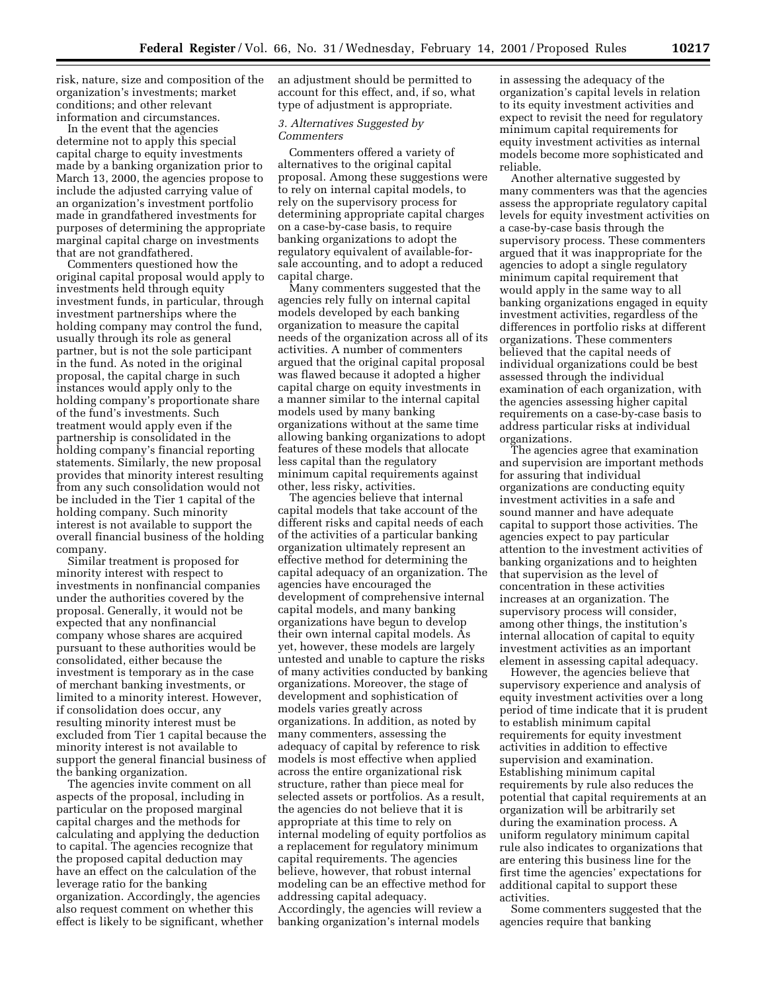risk, nature, size and composition of the organization's investments; market conditions; and other relevant information and circumstances.

In the event that the agencies determine not to apply this special capital charge to equity investments made by a banking organization prior to March 13, 2000, the agencies propose to include the adjusted carrying value of an organization's investment portfolio made in grandfathered investments for purposes of determining the appropriate marginal capital charge on investments that are not grandfathered.

Commenters questioned how the original capital proposal would apply to investments held through equity investment funds, in particular, through investment partnerships where the holding company may control the fund, usually through its role as general partner, but is not the sole participant in the fund. As noted in the original proposal, the capital charge in such instances would apply only to the holding company's proportionate share of the fund's investments. Such treatment would apply even if the partnership is consolidated in the holding company's financial reporting statements. Similarly, the new proposal provides that minority interest resulting from any such consolidation would not be included in the Tier 1 capital of the holding company. Such minority interest is not available to support the overall financial business of the holding company.

Similar treatment is proposed for minority interest with respect to investments in nonfinancial companies under the authorities covered by the proposal. Generally, it would not be expected that any nonfinancial company whose shares are acquired pursuant to these authorities would be consolidated, either because the investment is temporary as in the case of merchant banking investments, or limited to a minority interest. However, if consolidation does occur, any resulting minority interest must be excluded from Tier 1 capital because the minority interest is not available to support the general financial business of the banking organization.

The agencies invite comment on all aspects of the proposal, including in particular on the proposed marginal capital charges and the methods for calculating and applying the deduction to capital. The agencies recognize that the proposed capital deduction may have an effect on the calculation of the leverage ratio for the banking organization. Accordingly, the agencies also request comment on whether this effect is likely to be significant, whether an adjustment should be permitted to account for this effect, and, if so, what type of adjustment is appropriate.

## *3. Alternatives Suggested by Commenters*

Commenters offered a variety of alternatives to the original capital proposal. Among these suggestions were to rely on internal capital models, to rely on the supervisory process for determining appropriate capital charges on a case-by-case basis, to require banking organizations to adopt the regulatory equivalent of available-forsale accounting, and to adopt a reduced capital charge.

Many commenters suggested that the agencies rely fully on internal capital models developed by each banking organization to measure the capital needs of the organization across all of its activities. A number of commenters argued that the original capital proposal was flawed because it adopted a higher capital charge on equity investments in a manner similar to the internal capital models used by many banking organizations without at the same time allowing banking organizations to adopt features of these models that allocate less capital than the regulatory minimum capital requirements against other, less risky, activities.

The agencies believe that internal capital models that take account of the different risks and capital needs of each of the activities of a particular banking organization ultimately represent an effective method for determining the capital adequacy of an organization. The agencies have encouraged the development of comprehensive internal capital models, and many banking organizations have begun to develop their own internal capital models. As yet, however, these models are largely untested and unable to capture the risks of many activities conducted by banking organizations. Moreover, the stage of development and sophistication of models varies greatly across organizations. In addition, as noted by many commenters, assessing the adequacy of capital by reference to risk models is most effective when applied across the entire organizational risk structure, rather than piece meal for selected assets or portfolios. As a result, the agencies do not believe that it is appropriate at this time to rely on internal modeling of equity portfolios as a replacement for regulatory minimum capital requirements. The agencies believe, however, that robust internal modeling can be an effective method for addressing capital adequacy. Accordingly, the agencies will review a banking organization's internal models

in assessing the adequacy of the organization's capital levels in relation to its equity investment activities and expect to revisit the need for regulatory minimum capital requirements for equity investment activities as internal models become more sophisticated and reliable.

Another alternative suggested by many commenters was that the agencies assess the appropriate regulatory capital levels for equity investment activities on a case-by-case basis through the supervisory process. These commenters argued that it was inappropriate for the agencies to adopt a single regulatory minimum capital requirement that would apply in the same way to all banking organizations engaged in equity investment activities, regardless of the differences in portfolio risks at different organizations. These commenters believed that the capital needs of individual organizations could be best assessed through the individual examination of each organization, with the agencies assessing higher capital requirements on a case-by-case basis to address particular risks at individual organizations.

The agencies agree that examination and supervision are important methods for assuring that individual organizations are conducting equity investment activities in a safe and sound manner and have adequate capital to support those activities. The agencies expect to pay particular attention to the investment activities of banking organizations and to heighten that supervision as the level of concentration in these activities increases at an organization. The supervisory process will consider, among other things, the institution's internal allocation of capital to equity investment activities as an important element in assessing capital adequacy.

However, the agencies believe that supervisory experience and analysis of equity investment activities over a long period of time indicate that it is prudent to establish minimum capital requirements for equity investment activities in addition to effective supervision and examination. Establishing minimum capital requirements by rule also reduces the potential that capital requirements at an organization will be arbitrarily set during the examination process. A uniform regulatory minimum capital rule also indicates to organizations that are entering this business line for the first time the agencies' expectations for additional capital to support these activities.

Some commenters suggested that the agencies require that banking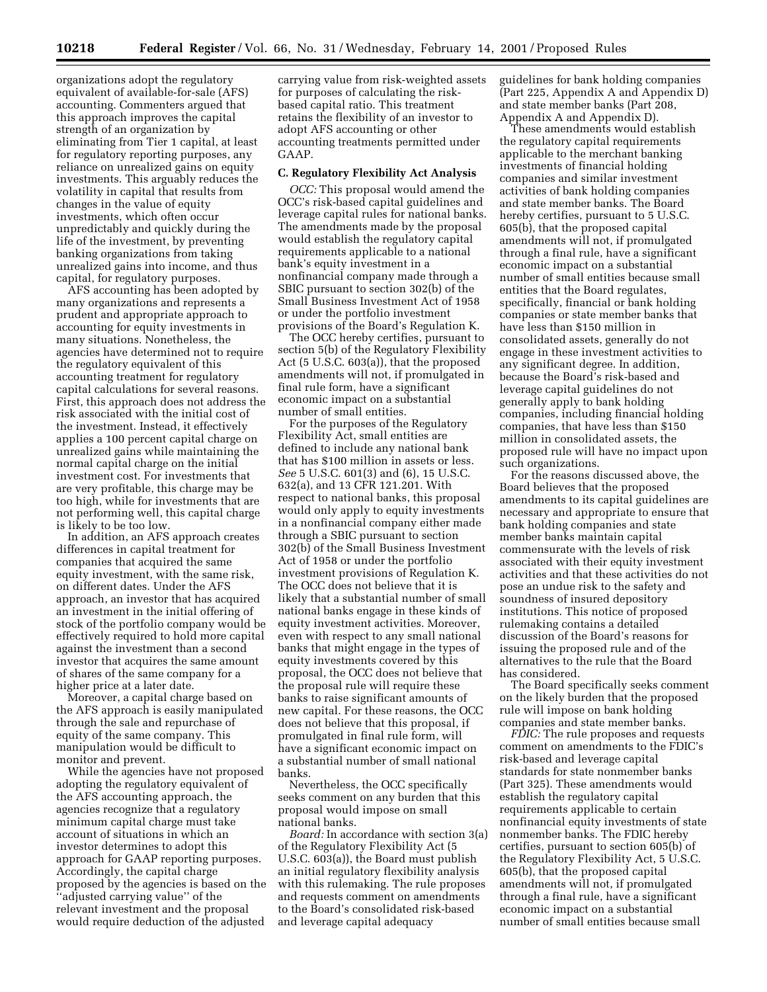organizations adopt the regulatory equivalent of available-for-sale (AFS) accounting. Commenters argued that this approach improves the capital strength of an organization by eliminating from Tier 1 capital, at least for regulatory reporting purposes, any reliance on unrealized gains on equity investments. This arguably reduces the volatility in capital that results from changes in the value of equity investments, which often occur unpredictably and quickly during the life of the investment, by preventing banking organizations from taking unrealized gains into income, and thus capital, for regulatory purposes.

AFS accounting has been adopted by many organizations and represents a prudent and appropriate approach to accounting for equity investments in many situations. Nonetheless, the agencies have determined not to require the regulatory equivalent of this accounting treatment for regulatory capital calculations for several reasons. First, this approach does not address the risk associated with the initial cost of the investment. Instead, it effectively applies a 100 percent capital charge on unrealized gains while maintaining the normal capital charge on the initial investment cost. For investments that are very profitable, this charge may be too high, while for investments that are not performing well, this capital charge is likely to be too low.

In addition, an AFS approach creates differences in capital treatment for companies that acquired the same equity investment, with the same risk, on different dates. Under the AFS approach, an investor that has acquired an investment in the initial offering of stock of the portfolio company would be effectively required to hold more capital against the investment than a second investor that acquires the same amount of shares of the same company for a higher price at a later date.

Moreover, a capital charge based on the AFS approach is easily manipulated through the sale and repurchase of equity of the same company. This manipulation would be difficult to monitor and prevent.

While the agencies have not proposed adopting the regulatory equivalent of the AFS accounting approach, the agencies recognize that a regulatory minimum capital charge must take account of situations in which an investor determines to adopt this approach for GAAP reporting purposes. Accordingly, the capital charge proposed by the agencies is based on the ''adjusted carrying value'' of the relevant investment and the proposal would require deduction of the adjusted

carrying value from risk-weighted assets for purposes of calculating the riskbased capital ratio. This treatment retains the flexibility of an investor to adopt AFS accounting or other accounting treatments permitted under GAAP.

#### **C. Regulatory Flexibility Act Analysis**

*OCC:* This proposal would amend the OCC's risk-based capital guidelines and leverage capital rules for national banks. The amendments made by the proposal would establish the regulatory capital requirements applicable to a national bank's equity investment in a nonfinancial company made through a SBIC pursuant to section 302(b) of the Small Business Investment Act of 1958 or under the portfolio investment provisions of the Board's Regulation K.

The OCC hereby certifies, pursuant to section 5(b) of the Regulatory Flexibility Act (5 U.S.C. 603(a)), that the proposed amendments will not, if promulgated in final rule form, have a significant economic impact on a substantial number of small entities.

For the purposes of the Regulatory Flexibility Act, small entities are defined to include any national bank that has \$100 million in assets or less. *See* 5 U.S.C. 601(3) and (6), 15 U.S.C. 632(a), and 13 CFR 121.201. With respect to national banks, this proposal would only apply to equity investments in a nonfinancial company either made through a SBIC pursuant to section 302(b) of the Small Business Investment Act of 1958 or under the portfolio investment provisions of Regulation K. The OCC does not believe that it is likely that a substantial number of small national banks engage in these kinds of equity investment activities. Moreover, even with respect to any small national banks that might engage in the types of equity investments covered by this proposal, the OCC does not believe that the proposal rule will require these banks to raise significant amounts of new capital. For these reasons, the OCC does not believe that this proposal, if promulgated in final rule form, will have a significant economic impact on a substantial number of small national banks.

Nevertheless, the OCC specifically seeks comment on any burden that this proposal would impose on small national banks.

*Board:* In accordance with section 3(a) of the Regulatory Flexibility Act (5 U.S.C. 603(a)), the Board must publish an initial regulatory flexibility analysis with this rulemaking. The rule proposes and requests comment on amendments to the Board's consolidated risk-based and leverage capital adequacy

guidelines for bank holding companies (Part 225, Appendix A and Appendix D) and state member banks (Part 208, Appendix A and Appendix D).

These amendments would establish the regulatory capital requirements applicable to the merchant banking investments of financial holding companies and similar investment activities of bank holding companies and state member banks. The Board hereby certifies, pursuant to 5 U.S.C. 605(b), that the proposed capital amendments will not, if promulgated through a final rule, have a significant economic impact on a substantial number of small entities because small entities that the Board regulates, specifically, financial or bank holding companies or state member banks that have less than \$150 million in consolidated assets, generally do not engage in these investment activities to any significant degree. In addition, because the Board's risk-based and leverage capital guidelines do not generally apply to bank holding companies, including financial holding companies, that have less than \$150 million in consolidated assets, the proposed rule will have no impact upon such organizations.

For the reasons discussed above, the Board believes that the proposed amendments to its capital guidelines are necessary and appropriate to ensure that bank holding companies and state member banks maintain capital commensurate with the levels of risk associated with their equity investment activities and that these activities do not pose an undue risk to the safety and soundness of insured depository institutions. This notice of proposed rulemaking contains a detailed discussion of the Board's reasons for issuing the proposed rule and of the alternatives to the rule that the Board has considered.

The Board specifically seeks comment on the likely burden that the proposed rule will impose on bank holding companies and state member banks.

*FDIC:* The rule proposes and requests comment on amendments to the FDIC's risk-based and leverage capital standards for state nonmember banks (Part 325). These amendments would establish the regulatory capital requirements applicable to certain nonfinancial equity investments of state nonmember banks. The FDIC hereby certifies, pursuant to section 605(b) of the Regulatory Flexibility Act, 5 U.S.C. 605(b), that the proposed capital amendments will not, if promulgated through a final rule, have a significant economic impact on a substantial number of small entities because small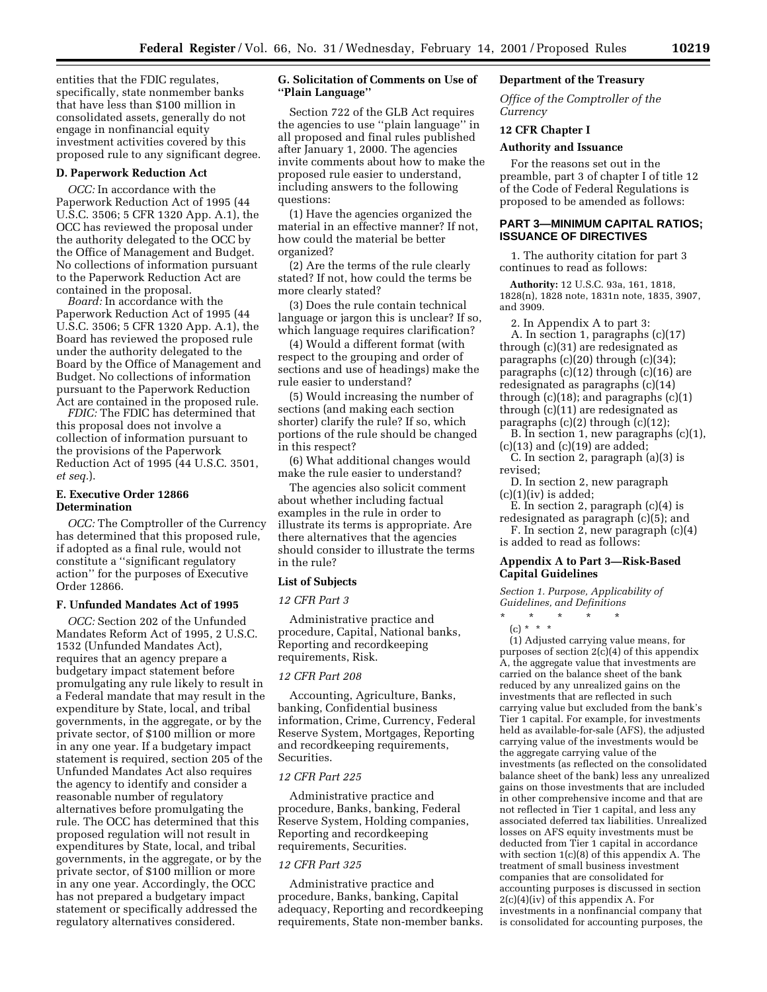entities that the FDIC regulates, specifically, state nonmember banks that have less than \$100 million in consolidated assets, generally do not engage in nonfinancial equity investment activities covered by this proposed rule to any significant degree.

#### **D. Paperwork Reduction Act**

*OCC:* In accordance with the Paperwork Reduction Act of 1995 (44 U.S.C. 3506; 5 CFR 1320 App. A.1), the OCC has reviewed the proposal under the authority delegated to the OCC by the Office of Management and Budget. No collections of information pursuant to the Paperwork Reduction Act are contained in the proposal.

*Board:* In accordance with the Paperwork Reduction Act of 1995 (44 U.S.C. 3506; 5 CFR 1320 App. A.1), the Board has reviewed the proposed rule under the authority delegated to the Board by the Office of Management and Budget. No collections of information pursuant to the Paperwork Reduction Act are contained in the proposed rule.

*FDIC:* The FDIC has determined that this proposal does not involve a collection of information pursuant to the provisions of the Paperwork Reduction Act of 1995 (44 U.S.C. 3501, *et seq.*).

# **E. Executive Order 12866 Determination**

*OCC:* The Comptroller of the Currency has determined that this proposed rule, if adopted as a final rule, would not constitute a ''significant regulatory action'' for the purposes of Executive Order 12866.

### **F. Unfunded Mandates Act of 1995**

*OCC:* Section 202 of the Unfunded Mandates Reform Act of 1995, 2 U.S.C. 1532 (Unfunded Mandates Act), requires that an agency prepare a budgetary impact statement before promulgating any rule likely to result in a Federal mandate that may result in the expenditure by State, local, and tribal governments, in the aggregate, or by the private sector, of \$100 million or more in any one year. If a budgetary impact statement is required, section 205 of the Unfunded Mandates Act also requires the agency to identify and consider a reasonable number of regulatory alternatives before promulgating the rule. The OCC has determined that this proposed regulation will not result in expenditures by State, local, and tribal governments, in the aggregate, or by the private sector, of \$100 million or more in any one year. Accordingly, the OCC has not prepared a budgetary impact statement or specifically addressed the regulatory alternatives considered.

## **G. Solicitation of Comments on Use of ''Plain Language''**

Section 722 of the GLB Act requires the agencies to use ''plain language'' in all proposed and final rules published after January 1, 2000. The agencies invite comments about how to make the proposed rule easier to understand, including answers to the following questions:

(1) Have the agencies organized the material in an effective manner? If not, how could the material be better organized?

(2) Are the terms of the rule clearly stated? If not, how could the terms be more clearly stated?

(3) Does the rule contain technical language or jargon this is unclear? If so, which language requires clarification?

(4) Would a different format (with respect to the grouping and order of sections and use of headings) make the rule easier to understand?

(5) Would increasing the number of sections (and making each section shorter) clarify the rule? If so, which portions of the rule should be changed in this respect?

(6) What additional changes would make the rule easier to understand?

The agencies also solicit comment about whether including factual examples in the rule in order to illustrate its terms is appropriate. Are there alternatives that the agencies should consider to illustrate the terms in the rule?

#### **List of Subjects**

#### *12 CFR Part 3*

Administrative practice and procedure, Capital, National banks, Reporting and recordkeeping requirements, Risk.

#### *12 CFR Part 208*

Accounting, Agriculture, Banks, banking, Confidential business information, Crime, Currency, Federal Reserve System, Mortgages, Reporting and recordkeeping requirements, Securities.

## *12 CFR Part 225*

Administrative practice and procedure, Banks, banking, Federal Reserve System, Holding companies, Reporting and recordkeeping requirements, Securities.

#### *12 CFR Part 325*

Administrative practice and procedure, Banks, banking, Capital adequacy, Reporting and recordkeeping requirements, State non-member banks.

# **Department of the Treasury**

*Office of the Comptroller of the Currency*

# **12 CFR Chapter I**

#### **Authority and Issuance**

For the reasons set out in the preamble, part 3 of chapter I of title 12 of the Code of Federal Regulations is proposed to be amended as follows:

## **PART 3—MINIMUM CAPITAL RATIOS; ISSUANCE OF DIRECTIVES**

1. The authority citation for part 3 continues to read as follows:

**Authority:** 12 U.S.C. 93a, 161, 1818, 1828(n), 1828 note, 1831n note, 1835, 3907, and 3909.

2. In Appendix A to part 3: A. In section 1, paragraphs (c)(17) through (c)(31) are redesignated as paragraphs  $(c)(20)$  through  $(c)(34)$ ; paragraphs (c)(12) through (c)(16) are redesignated as paragraphs (c)(14) through  $(c)(18)$ ; and paragraphs  $(c)(1)$ through (c)(11) are redesignated as paragraphs  $(c)(2)$  through  $(c)(12)$ ;

B. In section 1, new paragraphs (c)(1),  $(c)(13)$  and  $(c)(19)$  are added;

C. In section 2, paragraph (a)(3) is revised;

D. In section 2, new paragraph  $(c)(1)(iv)$  is added;

E. In section 2, paragraph (c)(4) is redesignated as paragraph (c)(5); and

F. In section 2, new paragraph (c)(4) is added to read as follows:

### **Appendix A to Part 3—Risk-Based Capital Guidelines**

*Section 1. Purpose, Applicability of Guidelines, and Definitions*

\* \* \* \* \*

(c) \* \* \*

(1) Adjusted carrying value means, for purposes of section  $2(c)(4)$  of this appendix A, the aggregate value that investments are carried on the balance sheet of the bank reduced by any unrealized gains on the investments that are reflected in such carrying value but excluded from the bank's Tier 1 capital. For example, for investments held as available-for-sale (AFS), the adjusted carrying value of the investments would be the aggregate carrying value of the investments (as reflected on the consolidated balance sheet of the bank) less any unrealized gains on those investments that are included in other comprehensive income and that are not reflected in Tier 1 capital, and less any associated deferred tax liabilities. Unrealized losses on AFS equity investments must be deducted from Tier 1 capital in accordance with section 1(c)(8) of this appendix A. The treatment of small business investment companies that are consolidated for accounting purposes is discussed in section  $2(c)(4)(iv)$  of this appendix A. For investments in a nonfinancial company that is consolidated for accounting purposes, the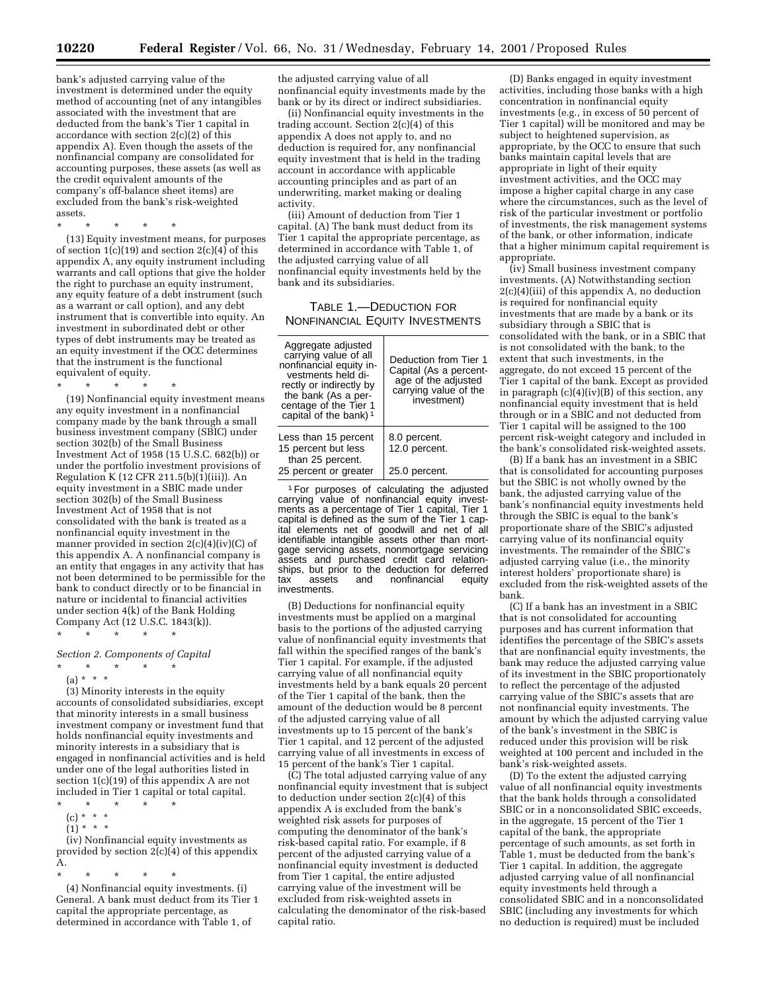bank's adjusted carrying value of the investment is determined under the equity method of accounting (net of any intangibles associated with the investment that are deducted from the bank's Tier 1 capital in accordance with section 2(c)(2) of this appendix A). Even though the assets of the nonfinancial company are consolidated for accounting purposes, these assets (as well as the credit equivalent amounts of the company's off-balance sheet items) are excluded from the bank's risk-weighted assets.

\* \* \* \* \* (13) Equity investment means, for purposes of section  $1(c)(19)$  and section  $2(c)(4)$  of this appendix A, any equity instrument including warrants and call options that give the holder the right to purchase an equity instrument, any equity feature of a debt instrument (such as a warrant or call option), and any debt instrument that is convertible into equity. An investment in subordinated debt or other types of debt instruments may be treated as an equity investment if the OCC determines that the instrument is the functional equivalent of equity.

\* \* \* \* \*

(19) Nonfinancial equity investment means any equity investment in a nonfinancial company made by the bank through a small business investment company (SBIC) under section 302(b) of the Small Business Investment Act of 1958 (15 U.S.C. 682(b)) or under the portfolio investment provisions of Regulation K (12 CFR 211.5(b)(1)(iii)). An equity investment in a SBIC made under section 302(b) of the Small Business Investment Act of 1958 that is not consolidated with the bank is treated as a nonfinancial equity investment in the manner provided in section 2(c)(4)(iv)(C) of this appendix A. A nonfinancial company is an entity that engages in any activity that has not been determined to be permissible for the bank to conduct directly or to be financial in nature or incidental to financial activities under section 4(k) of the Bank Holding Company Act (12 U.S.C. 1843(k)). \* \* \* \* \*

*Section 2. Components of Capital*

\* \* \* \* \*

(a) \* \* \* \*

(3) Minority interests in the equity accounts of consolidated subsidiaries, except that minority interests in a small business investment company or investment fund that holds nonfinancial equity investments and minority interests in a subsidiary that is engaged in nonfinancial activities and is held under one of the legal authorities listed in section 1(c)(19) of this appendix A are not included in Tier 1 capital or total capital.

- \* \* \* \* \*  $(c) * * * *$
- $(1) * * * *$

(iv) Nonfinancial equity investments as provided by section 2(c)(4) of this appendix A.

\* \* \* \* \*

(4) Nonfinancial equity investments. (i) General. A bank must deduct from its Tier 1 capital the appropriate percentage, as determined in accordance with Table 1, of

the adjusted carrying value of all nonfinancial equity investments made by the bank or by its direct or indirect subsidiaries.

(ii) Nonfinancial equity investments in the trading account. Section 2(c)(4) of this appendix A does not apply to, and no deduction is required for, any nonfinancial equity investment that is held in the trading account in accordance with applicable accounting principles and as part of an underwriting, market making or dealing activity.

(iii) Amount of deduction from Tier 1 capital. (A) The bank must deduct from its Tier 1 capital the appropriate percentage, as determined in accordance with Table 1, of the adjusted carrying value of all nonfinancial equity investments held by the bank and its subsidiaries.

TABLE 1.—DEDUCTION FOR NONFINANCIAL EQUITY INVESTMENTS

| Aggregate adjusted<br>carrying value of all<br>nonfinancial equity in-<br>vestments held di-<br>rectly or indirectly by<br>the bank (As a per-<br>centage of the Tier 1<br>capital of the bank) $1$ | Deduction from Tier 1<br>Capital (As a percent-<br>age of the adjusted<br>carrying value of the<br>investment) |
|-----------------------------------------------------------------------------------------------------------------------------------------------------------------------------------------------------|----------------------------------------------------------------------------------------------------------------|
| Less than 15 percent<br>15 percent but less<br>than 25 percent.                                                                                                                                     | 8.0 percent.<br>12.0 percent.                                                                                  |
| 25 percent or greater                                                                                                                                                                               | 25.0 percent.                                                                                                  |

1For purposes of calculating the adjusted carrying value of nonfinancial equity investments as a percentage of Tier 1 capital, Tier 1 capital is defined as the sum of the Tier 1 capital elements net of goodwill and net of all identifiable intangible assets other than mortgage servicing assets, nonmortgage servicing assets and purchased credit card relationships, but prior to the deduction for deferred tax assets and nonfinancial equity investments.

(B) Deductions for nonfinancial equity investments must be applied on a marginal basis to the portions of the adjusted carrying value of nonfinancial equity investments that fall within the specified ranges of the bank's Tier 1 capital. For example, if the adjusted carrying value of all nonfinancial equity investments held by a bank equals 20 percent of the Tier 1 capital of the bank, then the amount of the deduction would be 8 percent of the adjusted carrying value of all investments up to 15 percent of the bank's Tier 1 capital, and 12 percent of the adjusted carrying value of all investments in excess of 15 percent of the bank's Tier 1 capital.

(C) The total adjusted carrying value of any nonfinancial equity investment that is subject to deduction under section 2(c)(4) of this appendix A is excluded from the bank's weighted risk assets for purposes of computing the denominator of the bank's risk-based capital ratio. For example, if 8 percent of the adjusted carrying value of a nonfinancial equity investment is deducted from Tier 1 capital, the entire adjusted carrying value of the investment will be excluded from risk-weighted assets in calculating the denominator of the risk-based capital ratio.

(D) Banks engaged in equity investment activities, including those banks with a high concentration in nonfinancial equity investments (e.g., in excess of 50 percent of Tier 1 capital) will be monitored and may be subject to heightened supervision, as appropriate, by the OCC to ensure that such banks maintain capital levels that are appropriate in light of their equity investment activities, and the OCC may impose a higher capital charge in any case where the circumstances, such as the level of risk of the particular investment or portfolio of investments, the risk management systems of the bank, or other information, indicate that a higher minimum capital requirement is appropriate.

(iv) Small business investment company investments. (A) Notwithstanding section 2(c)(4)(iii) of this appendix A, no deduction is required for nonfinancial equity investments that are made by a bank or its subsidiary through a SBIC that is consolidated with the bank, or in a SBIC that is not consolidated with the bank, to the extent that such investments, in the aggregate, do not exceed 15 percent of the Tier 1 capital of the bank. Except as provided in paragraph (c)(4)(iv)(B) of this section, any nonfinancial equity investment that is held through or in a SBIC and not deducted from Tier 1 capital will be assigned to the 100 percent risk-weight category and included in the bank's consolidated risk-weighted assets.

(B) If a bank has an investment in a SBIC that is consolidated for accounting purposes but the SBIC is not wholly owned by the bank, the adjusted carrying value of the bank's nonfinancial equity investments held through the SBIC is equal to the bank's proportionate share of the SBIC's adjusted carrying value of its nonfinancial equity investments. The remainder of the SBIC's adjusted carrying value (i.e., the minority interest holders' proportionate share) is excluded from the risk-weighted assets of the bank.

(C) If a bank has an investment in a SBIC that is not consolidated for accounting purposes and has current information that identifies the percentage of the SBIC's assets that are nonfinancial equity investments, the bank may reduce the adjusted carrying value of its investment in the SBIC proportionately to reflect the percentage of the adjusted carrying value of the SBIC's assets that are not nonfinancial equity investments. The amount by which the adjusted carrying value of the bank's investment in the SBIC is reduced under this provision will be risk weighted at 100 percent and included in the bank's risk-weighted assets.

(D) To the extent the adjusted carrying value of all nonfinancial equity investments that the bank holds through a consolidated SBIC or in a nonconsolidated SBIC exceeds, in the aggregate, 15 percent of the Tier 1 capital of the bank, the appropriate percentage of such amounts, as set forth in Table 1, must be deducted from the bank's Tier 1 capital. In addition, the aggregate adjusted carrying value of all nonfinancial equity investments held through a consolidated SBIC and in a nonconsolidated SBIC (including any investments for which no deduction is required) must be included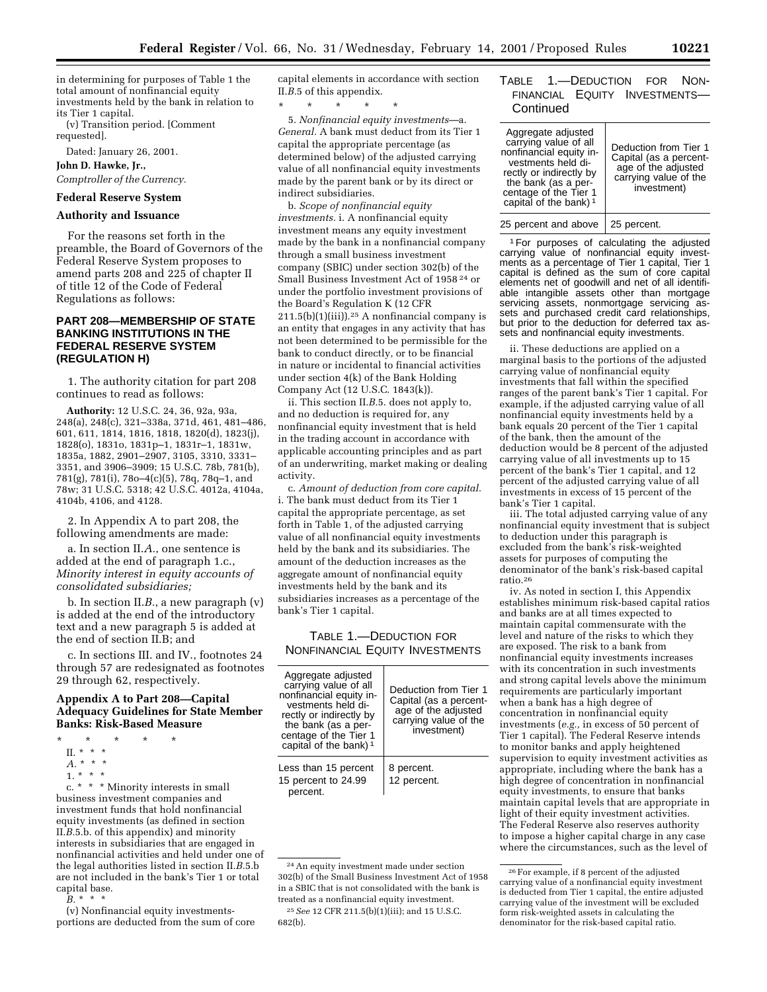in determining for purposes of Table 1 the total amount of nonfinancial equity investments held by the bank in relation to its Tier 1 capital.

(v) Transition period. [Comment requested].

Dated: January 26, 2001.

**John D. Hawke, Jr.,**

*Comptroller of the Currency.*

# **Federal Reserve System**

### **Authority and Issuance**

For the reasons set forth in the preamble, the Board of Governors of the Federal Reserve System proposes to amend parts 208 and 225 of chapter II of title 12 of the Code of Federal Regulations as follows:

# **PART 208—MEMBERSHIP OF STATE BANKING INSTITUTIONS IN THE FEDERAL RESERVE SYSTEM (REGULATION H)**

1. The authority citation for part 208 continues to read as follows:

**Authority:** 12 U.S.C. 24, 36, 92a, 93a, 248(a), 248(c), 321–338a, 371d, 461, 481–486, 601, 611, 1814, 1816, 1818, 1820(d), 1823(j), 1828(o), 1831o, 1831p–1, 1831r–1, 1831w, 1835a, 1882, 2901–2907, 3105, 3310, 3331– 3351, and 3906–3909; 15 U.S.C. 78b, 781(b), 781(g), 781(i), 78o–4(c)(5), 78q, 78q–1, and 78w; 31 U.S.C. 5318; 42 U.S.C. 4012a, 4104a, 4104b, 4106, and 4128.

2. In Appendix A to part 208, the following amendments are made:

a. In section II.*A.*, one sentence is added at the end of paragraph 1.c., *Minority interest in equity accounts of consolidated subsidiaries;*

b. In section II.*B.*, a new paragraph (v) is added at the end of the introductory text and a new paragraph 5 is added at the end of section II.B; and

c. In sections III. and IV., footnotes 24 through 57 are redesignated as footnotes 29 through 62, respectively.

### **Appendix A to Part 208—Capital Adequacy Guidelines for State Member Banks: Risk-Based Measure**

- \* \* \* \* \*
	- II. \* \* \*
- *A.* \*\*\*
- 1. \* \* \*

c. \* \* \* Minority interests in small business investment companies and investment funds that hold nonfinancial equity investments (as defined in section II.*B.*5.b. of this appendix) and minority interests in subsidiaries that are engaged in nonfinancial activities and held under one of the legal authorities listed in section II.*B.*5.b are not included in the bank's Tier 1 or total capital base.

 $B^*$  \* \* \*

(v) Nonfinancial equity investmentsportions are deducted from the sum of core capital elements in accordance with section II.*B.*5 of this appendix.

\* \* \* \* \*

5. *Nonfinancial equity investments*—a. *General.* A bank must deduct from its Tier 1 capital the appropriate percentage (as determined below) of the adjusted carrying value of all nonfinancial equity investments made by the parent bank or by its direct or indirect subsidiaries.

b. *Scope of nonfinancial equity investments.* i. A nonfinancial equity investment means any equity investment made by the bank in a nonfinancial company through a small business investment company (SBIC) under section 302(b) of the Small Business Investment Act of 1958 24 or under the portfolio investment provisions of the Board's Regulation K (12 CFR  $211.5(b)(1)(iii)$ .<sup>25</sup> A nonfinancial company is an entity that engages in any activity that has not been determined to be permissible for the bank to conduct directly, or to be financial in nature or incidental to financial activities under section 4(k) of the Bank Holding Company Act (12 U.S.C. 1843(k)).

ii. This section II.*B.*5. does not apply to, and no deduction is required for, any nonfinancial equity investment that is held in the trading account in accordance with applicable accounting principles and as part of an underwriting, market making or dealing activity.

c. *Amount of deduction from core capital.* i. The bank must deduct from its Tier 1 capital the appropriate percentage, as set forth in Table 1, of the adjusted carrying value of all nonfinancial equity investments held by the bank and its subsidiaries. The amount of the deduction increases as the aggregate amount of nonfinancial equity investments held by the bank and its subsidiaries increases as a percentage of the bank's Tier 1 capital.

TABLE 1.—DEDUCTION FOR NONFINANCIAL EQUITY INVESTMENTS

| Aggregate adjusted<br>carrying value of all<br>nonfinancial equity in-<br>vestments held di-<br>rectly or indirectly by<br>the bank (as a per-<br>centage of the Tier 1<br>capital of the bank) <sup>1</sup> | Deduction from Tier 1<br>Capital (as a percent-<br>age of the adjusted<br>carrying value of the<br>investment) |
|--------------------------------------------------------------------------------------------------------------------------------------------------------------------------------------------------------------|----------------------------------------------------------------------------------------------------------------|
| Less than 15 percent<br>15 percent to 24.99<br>percent.                                                                                                                                                      | 8 percent.<br>12 percent.                                                                                      |

## TABLE 1.—DEDUCTION FOR NON-FINANCIAL EQUITY INVESTMENTS— **Continued**

| Aggregate adjusted<br>carrying value of all<br>nonfinancial equity in-<br>vestments held di-<br>rectly or indirectly by<br>the bank (as a per-<br>centage of the Tier 1 | Deduction from Tier 1<br>Capital (as a percent-<br>age of the adjusted<br>carrying value of the<br>investment) |
|-------------------------------------------------------------------------------------------------------------------------------------------------------------------------|----------------------------------------------------------------------------------------------------------------|
| capital of the bank) <sup>1</sup>                                                                                                                                       |                                                                                                                |
| 25 percent and above                                                                                                                                                    | 25 percent.                                                                                                    |

1For purposes of calculating the adjusted carrying value of nonfinancial equity investments as a percentage of Tier 1 capital, Tier 1 capital is defined as the sum of core capital elements net of goodwill and net of all identifiable intangible assets other than mortgage servicing assets, nonmortgage servicing assets and purchased credit card relationships, but prior to the deduction for deferred tax assets and nonfinancial equity investments.

ii. These deductions are applied on a marginal basis to the portions of the adjusted carrying value of nonfinancial equity investments that fall within the specified ranges of the parent bank's Tier 1 capital. For example, if the adjusted carrying value of all nonfinancial equity investments held by a bank equals 20 percent of the Tier 1 capital of the bank, then the amount of the deduction would be 8 percent of the adjusted carrying value of all investments up to 15 percent of the bank's Tier 1 capital, and 12 percent of the adjusted carrying value of all investments in excess of 15 percent of the bank's Tier 1 capital.

iii. The total adjusted carrying value of any nonfinancial equity investment that is subject to deduction under this paragraph is excluded from the bank's risk-weighted assets for purposes of computing the denominator of the bank's risk-based capital ratio.26

iv. As noted in section I, this Appendix establishes minimum risk-based capital ratios and banks are at all times expected to maintain capital commensurate with the level and nature of the risks to which they are exposed. The risk to a bank from nonfinancial equity investments increases with its concentration in such investments and strong capital levels above the minimum requirements are particularly important when a bank has a high degree of concentration in nonfinancial equity investments (*e.g.,* in excess of 50 percent of Tier 1 capital). The Federal Reserve intends to monitor banks and apply heightened supervision to equity investment activities as appropriate, including where the bank has a high degree of concentration in nonfinancial equity investments, to ensure that banks maintain capital levels that are appropriate in light of their equity investment activities. The Federal Reserve also reserves authority to impose a higher capital charge in any case where the circumstances, such as the level of

<sup>24</sup>An equity investment made under section 302(b) of the Small Business Investment Act of 1958 in a SBIC that is not consolidated with the bank is treated as a nonfinancial equity investment. 25*See* 12 CFR 211.5(b)(1)(iii); and 15 U.S.C. 682(b).

<sup>26</sup>For example, if 8 percent of the adjusted carrying value of a nonfinancial equity investment is deducted from Tier 1 capital, the entire adjusted carrying value of the investment will be excluded form risk-weighted assets in calculating the denominator for the risk-based capital ratio.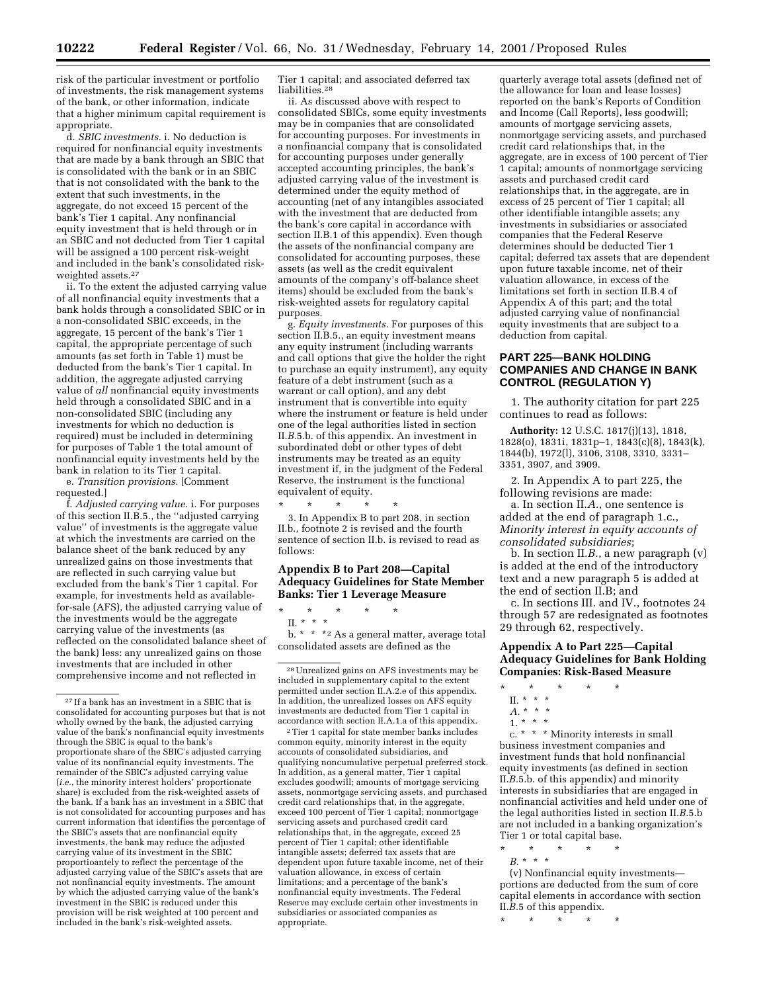risk of the particular investment or portfolio of investments, the risk management systems of the bank, or other information, indicate that a higher minimum capital requirement is appropriate.

d. *SBIC investments.* i. No deduction is required for nonfinancial equity investments that are made by a bank through an SBIC that is consolidated with the bank or in an SBIC that is not consolidated with the bank to the extent that such investments, in the aggregate, do not exceed 15 percent of the bank's Tier 1 capital. Any nonfinancial equity investment that is held through or in an SBIC and not deducted from Tier 1 capital will be assigned a 100 percent risk-weight and included in the bank's consolidated riskweighted assets.27

ii. To the extent the adjusted carrying value of all nonfinancial equity investments that a bank holds through a consolidated SBIC or in a non-consolidated SBIC exceeds, in the aggregate, 15 percent of the bank's Tier 1 capital, the appropriate percentage of such amounts (as set forth in Table 1) must be deducted from the bank's Tier 1 capital. In addition, the aggregate adjusted carrying value of *all* nonfinancial equity investments held through a consolidated SBIC and in a non-consolidated SBIC (including any investments for which no deduction is required) must be included in determining for purposes of Table 1 the total amount of nonfinancial equity investments held by the bank in relation to its Tier 1 capital.

e. *Transition provisions.* [Comment requested.]

f. *Adjusted carrying value.* i. For purposes of this section II.B.5., the ''adjusted carrying value'' of investments is the aggregate value at which the investments are carried on the balance sheet of the bank reduced by any unrealized gains on those investments that are reflected in such carrying value but excluded from the bank's Tier 1 capital. For example, for investments held as availablefor-sale (AFS), the adjusted carrying value of the investments would be the aggregate carrying value of the investments (as reflected on the consolidated balance sheet of the bank) less: any unrealized gains on those investments that are included in other comprehensive income and not reflected in

Tier 1 capital; and associated deferred tax liabilities.<sup>28</sup>

ii. As discussed above with respect to consolidated SBICs, some equity investments may be in companies that are consolidated for accounting purposes. For investments in a nonfinancial company that is consolidated for accounting purposes under generally accepted accounting principles, the bank's adjusted carrying value of the investment is determined under the equity method of accounting (net of any intangibles associated with the investment that are deducted from the bank's core capital in accordance with section II.B.1 of this appendix). Even though the assets of the nonfinancial company are consolidated for accounting purposes, these assets (as well as the credit equivalent amounts of the company's off-balance sheet items) should be excluded from the bank's risk-weighted assets for regulatory capital purposes.

g. *Equity investments.* For purposes of this section II.B.5., an equity investment means any equity instrument (including warrants and call options that give the holder the right to purchase an equity instrument), any equity feature of a debt instrument (such as a warrant or call option), and any debt instrument that is convertible into equity where the instrument or feature is held under one of the legal authorities listed in section II.*B.*5.b. of this appendix. An investment in subordinated debt or other types of debt instruments may be treated as an equity investment if, in the judgment of the Federal Reserve, the instrument is the functional equivalent of equity.

\* \* \* \* \* 3. In Appendix B to part 208, in section II.b., footnote 2 is revised and the fourth sentence of section II.b. is revised to read as follows:

# **Appendix B to Part 208—Capital Adequacy Guidelines for State Member Banks: Tier 1 Leverage Measure**

\* \* \* \* \*

II. \* \* \*

b. \* \* \*2 As a general matter, average total consolidated assets are defined as the

 $^{\rm 2}$  Tier 1 capital for state member banks includes common equity, minority interest in the equity accounts of consolidated subsidiaries, and qualifying noncumulative perpetual preferred stock. In addition, as a general matter, Tier 1 capital excludes goodwill; amounts of mortgage servicing assets, nonmortgage servicing assets, and purchased credit card relationships that, in the aggregate, exceed 100 percent of Tier 1 capital; nonmortgage servicing assets and purchased credit card relationships that, in the aggregate, exceed 25 percent of Tier 1 capital; other identifiable intangible assets; deferred tax assets that are dependent upon future taxable income, net of their valuation allowance, in excess of certain limitations; and a percentage of the bank's nonfinancial equity investments. The Federal Reserve may exclude certain other investments in subsidiaries or associated companies as appropriate.

quarterly average total assets (defined net of the allowance for loan and lease losses) reported on the bank's Reports of Condition and Income (Call Reports), less goodwill; amounts of mortgage servicing assets, nonmortgage servicing assets, and purchased credit card relationships that, in the aggregate, are in excess of 100 percent of Tier 1 capital; amounts of nonmortgage servicing assets and purchased credit card relationships that, in the aggregate, are in excess of 25 percent of Tier 1 capital; all other identifiable intangible assets; any investments in subsidiaries or associated companies that the Federal Reserve determines should be deducted Tier 1 capital; deferred tax assets that are dependent upon future taxable income, net of their valuation allowance, in excess of the limitations set forth in section II.B.4 of Appendix A of this part; and the total adjusted carrying value of nonfinancial equity investments that are subject to a deduction from capital.

## **PART 225—BANK HOLDING COMPANIES AND CHANGE IN BANK CONTROL (REGULATION Y)**

1. The authority citation for part 225 continues to read as follows:

**Authority:** 12 U.S.C. 1817(j)(13), 1818, 1828(o), 1831i, 1831p–1, 1843(c)(8), 1843(k), 1844(b), 1972(l), 3106, 3108, 3310, 3331– 3351, 3907, and 3909.

2. In Appendix A to part 225, the following revisions are made:

a. In section II.*A.*, one sentence is added at the end of paragraph 1.c., *Minority interest in equity accounts of consolidated subsidiaries*;

b. In section II.*B.*, a new paragraph (v) is added at the end of the introductory text and a new paragraph 5 is added at the end of section II.B; and

c. In sections III. and IV., footnotes 24 through 57 are redesignated as footnotes 29 through 62, respectively.

# **Appendix A to Part 225—Capital Adequacy Guidelines for Bank Holding Companies: Risk-Based Measure**

\* \* \* \* \*

c. \* \* \* Minority interests in small business investment companies and investment funds that hold nonfinancial equity investments (as defined in section II.*B.*5.b. of this appendix) and minority interests in subsidiaries that are engaged in nonfinancial activities and held under one of the legal authorities listed in section II.*B.*5.b are not included in a banking organization's Tier 1 or total capital base. \* \* \* \* \*

*B.* \*\*\*

(v) Nonfinancial equity investments portions are deducted from the sum of core capital elements in accordance with section II.*B.*5 of this appendix.

\* \* \* \* \*

<sup>27</sup> If a bank has an investment in a SBIC that is consolidated for accounting purposes but that is not wholly owned by the bank, the adjusted carrying value of the bank's nonfinancial equity investments through the SBIC is equal to the bank's proportionate share of the SBIC's adjusted carrying value of its nonfinancial equity investments. The remainder of the SBIC's adjusted carrying value (*i.e.*, the minority interest holders' proportionate share) is excluded from the risk-weighted assets of the bank. If a bank has an investment in a SBIC that is not consolidated for accounting purposes and has current information that identifies the percentage of the SBIC's assets that are nonfinancial equity investments, the bank may reduce the adjusted carrying value of its investment in the SBIC proportioantely to reflect the percentage of the adjusted carrying value of the SBIC's assets that are not nonfinancial equity investments. The amount by which the adjusted carrying value of the bank's investment in the SBIC is reduced under this provision will be risk weighted at 100 percent and included in the bank's risk-weighted assets.

<sup>28</sup>Unrealized gains on AFS investments may be included in supplementary capital to the extent permitted under section II.A.2.e of this appendix. In addition, the unrealized losses on AFS equity investments are deducted from Tier 1 capital in accordance with section II.A.1.a of this appendix.

II. \* \* \* *A.* \*\*\*

<sup>1. \* \* \*</sup>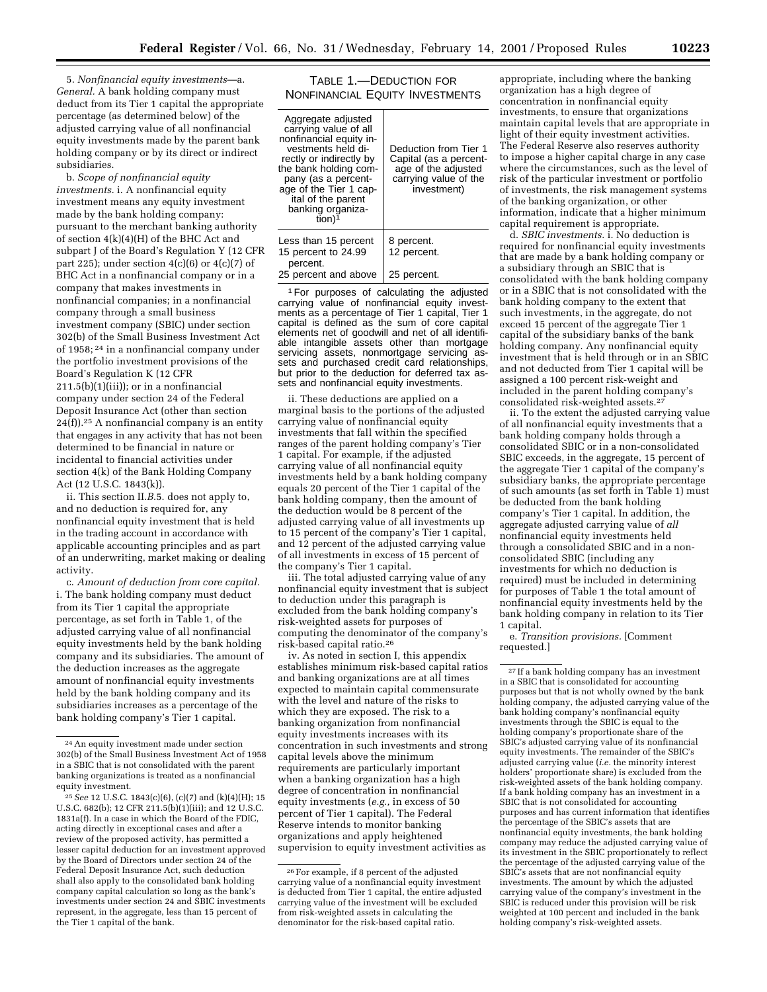5. *Nonfinancial equity investments*—a. *General.* A bank holding company must deduct from its Tier 1 capital the appropriate percentage (as determined below) of the adjusted carrying value of all nonfinancial equity investments made by the parent bank holding company or by its direct or indirect subsidiaries.

b. *Scope of nonfinancial equity investments.* i. A nonfinancial equity investment means any equity investment made by the bank holding company: pursuant to the merchant banking authority of section 4(k)(4)(H) of the BHC Act and subpart J of the Board's Regulation Y (12 CFR part 225); under section  $4(c)(6)$  or  $4(c)(7)$  of BHC Act in a nonfinancial company or in a company that makes investments in nonfinancial companies; in a nonfinancial company through a small business investment company (SBIC) under section 302(b) of the Small Business Investment Act of 1958; 24 in a nonfinancial company under the portfolio investment provisions of the Board's Regulation K (12 CFR 211.5(b)(1)(iii)); or in a nonfinancial company under section 24 of the Federal Deposit Insurance Act (other than section  $24(f)$ ).<sup>25</sup> A nonfinancial company is an entity that engages in any activity that has not been determined to be financial in nature or incidental to financial activities under section 4(k) of the Bank Holding Company Act (12 U.S.C. 1843(k)).

ii. This section II.*B*.5. does not apply to, and no deduction is required for, any nonfinancial equity investment that is held in the trading account in accordance with applicable accounting principles and as part of an underwriting, market making or dealing activity.

c. *Amount of deduction from core capital.* i. The bank holding company must deduct from its Tier 1 capital the appropriate percentage, as set forth in Table 1, of the adjusted carrying value of all nonfinancial equity investments held by the bank holding company and its subsidiaries. The amount of the deduction increases as the aggregate amount of nonfinancial equity investments held by the bank holding company and its subsidiaries increases as a percentage of the bank holding company's Tier 1 capital.

TABLE 1.—DEDUCTION FOR NONFINANCIAL EQUITY INVESTMENTS

| Aggregate adjusted<br>carrying value of all<br>nonfinancial equity in-<br>vestments held di-<br>rectly or indirectly by<br>the bank holding com-<br>pany (as a percent-<br>age of the Tier 1 cap-<br>ital of the parent<br>banking organiza-<br>fion) <sup>1</sup> | Deduction from Tier 1<br>Capital (as a percent-<br>age of the adjusted<br>carrying value of the<br>investment) |
|--------------------------------------------------------------------------------------------------------------------------------------------------------------------------------------------------------------------------------------------------------------------|----------------------------------------------------------------------------------------------------------------|
| Less than 15 percent<br>15 percent to 24.99<br>percent.                                                                                                                                                                                                            | 8 percent.<br>12 percent.                                                                                      |
| 25 percent and above                                                                                                                                                                                                                                               | 25 percent.                                                                                                    |

1For purposes of calculating the adjusted carrying value of nonfinancial equity investments as a percentage of Tier 1 capital, Tier 1 capital is defined as the sum of core capital elements net of goodwill and net of all identifiable intangible assets other than mortgage servicing assets, nonmortgage servicing assets and purchased credit card relationships, but prior to the deduction for deferred tax assets and nonfinancial equity investments.

ii. These deductions are applied on a marginal basis to the portions of the adjusted carrying value of nonfinancial equity investments that fall within the specified ranges of the parent holding company's Tier 1 capital. For example, if the adjusted carrying value of all nonfinancial equity investments held by a bank holding company equals 20 percent of the Tier 1 capital of the bank holding company, then the amount of the deduction would be 8 percent of the adjusted carrying value of all investments up to 15 percent of the company's Tier 1 capital, and 12 percent of the adjusted carrying value of all investments in excess of 15 percent of the company's Tier 1 capital.

iii. The total adjusted carrying value of any nonfinancial equity investment that is subject to deduction under this paragraph is excluded from the bank holding company's risk-weighted assets for purposes of computing the denominator of the company's risk-based capital ratio.26

iv. As noted in section I, this appendix establishes minimum risk-based capital ratios and banking organizations are at all times expected to maintain capital commensurate with the level and nature of the risks to which they are exposed. The risk to a banking organization from nonfinancial equity investments increases with its concentration in such investments and strong capital levels above the minimum requirements are particularly important when a banking organization has a high degree of concentration in nonfinancial equity investments (*e.g.,* in excess of 50 percent of Tier 1 capital). The Federal Reserve intends to monitor banking organizations and apply heightened supervision to equity investment activities as

appropriate, including where the banking organization has a high degree of concentration in nonfinancial equity investments, to ensure that organizations maintain capital levels that are appropriate in light of their equity investment activities. The Federal Reserve also reserves authority to impose a higher capital charge in any case where the circumstances, such as the level of risk of the particular investment or portfolio of investments, the risk management systems of the banking organization, or other information, indicate that a higher minimum capital requirement is appropriate.

d. *SBIC investments.* i. No deduction is required for nonfinancial equity investments that are made by a bank holding company or a subsidiary through an SBIC that is consolidated with the bank holding company or in a SBIC that is not consolidated with the bank holding company to the extent that such investments, in the aggregate, do not exceed 15 percent of the aggregate Tier 1 capital of the subsidiary banks of the bank holding company. Any nonfinancial equity investment that is held through or in an SBIC and not deducted from Tier 1 capital will be assigned a 100 percent risk-weight and included in the parent holding company's consolidated risk-weighted assets.27

ii. To the extent the adjusted carrying value of all nonfinancial equity investments that a bank holding company holds through a consolidated SBIC or in a non-consolidated SBIC exceeds, in the aggregate, 15 percent of the aggregate Tier 1 capital of the company's subsidiary banks, the appropriate percentage of such amounts (as set forth in Table 1) must be deducted from the bank holding company's Tier 1 capital. In addition, the aggregate adjusted carrying value of *all* nonfinancial equity investments held through a consolidated SBIC and in a nonconsolidated SBIC (including any investments for which no deduction is required) must be included in determining for purposes of Table 1 the total amount of nonfinancial equity investments held by the bank holding company in relation to its Tier 1 capital.

e. *Transition provisions.* [Comment requested.]

<sup>24</sup>An equity investment made under section 302(b) of the Small Business Investment Act of 1958 in a SBIC that is not consolidated with the parent banking organizations is treated as a nonfinancial equity investment.

<sup>25</sup>*See* 12 U.S.C. 1843(c)(6), (c)(7) and (k)(4)(H); 15 U.S.C. 682(b); 12 CFR 211.5(b)(1)(iii); and 12 U.S.C. 1831a(f). In a case in which the Board of the FDIC, acting directly in exceptional cases and after a review of the proposed activity, has permitted a lesser capital deduction for an investment approved by the Board of Directors under section 24 of the Federal Deposit Insurance Act, such deduction shall also apply to the consolidated bank holding company capital calculation so long as the bank's investments under section 24 and SBIC investments represent, in the aggregate, less than 15 percent of the Tier 1 capital of the bank.

<sup>26</sup>For example, if 8 percent of the adjusted carrying value of a nonfinancial equity investment is deducted from Tier 1 capital, the entire adjusted carrying value of the investment will be excluded from risk-weighted assets in calculating the denominator for the risk-based capital ratio.

 $\mathrm{^{27}}$  If a bank holding company has an investment in a SBIC that is consolidated for accounting purposes but that is not wholly owned by the bank holding company, the adjusted carrying value of the bank holding company's nonfinancial equity investments through the SBIC is equal to the holding company's proportionate share of the SBIC's adjusted carrying value of its nonfinancial equity investments. The remainder of the SBIC's adjusted carrying value (*i.e.* the minority interest holders' proportionate share) is excluded from the risk-weighted assets of the bank holding company. If a bank holding company has an investment in a SBIC that is not consolidated for accounting purposes and has current information that identifies the percentage of the SBIC's assets that are nonfinancial equity investments, the bank holding company may reduce the adjusted carrying value of its investment in the SBIC proportionately to reflect the percentage of the adjusted carrying value of the SBIC's assets that are not nonfinancial equity investments. The amount by which the adjusted carrying value of the company's investment in the SBIC is reduced under this provision will be risk weighted at 100 percent and included in the bank holding company's risk-weighted assets.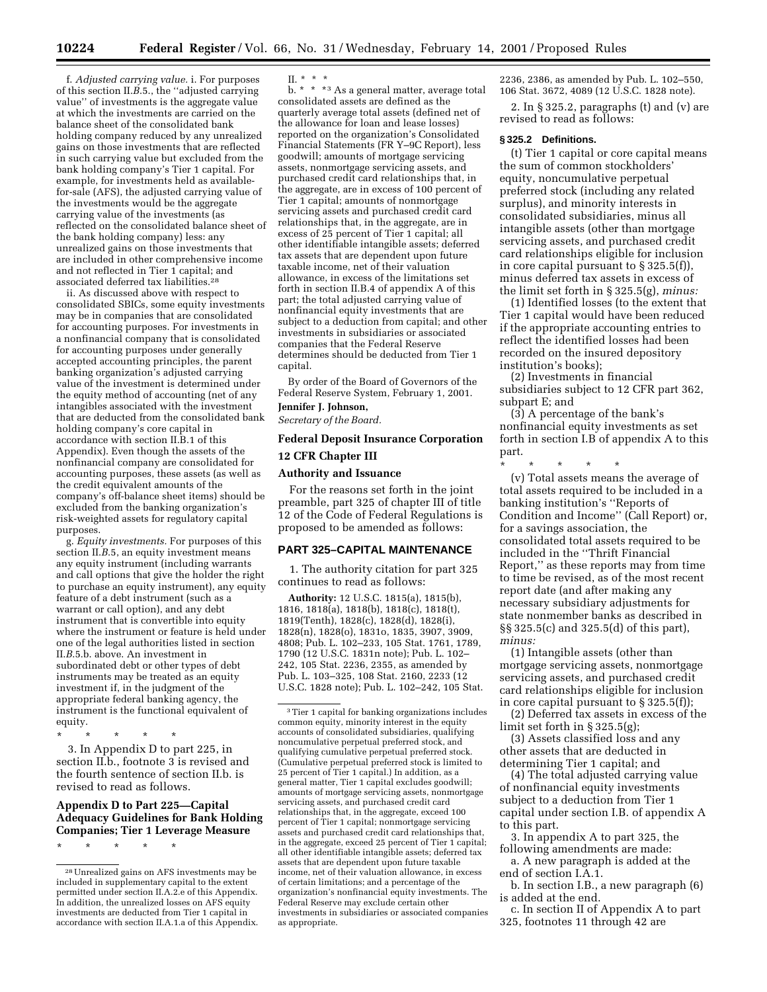f. *Adjusted carrying value.* i. For purposes of this section II.*B*.5., the ''adjusted carrying value'' of investments is the aggregate value at which the investments are carried on the balance sheet of the consolidated bank holding company reduced by any unrealized gains on those investments that are reflected in such carrying value but excluded from the bank holding company's Tier 1 capital. For example, for investments held as availablefor-sale (AFS), the adjusted carrying value of the investments would be the aggregate carrying value of the investments (as reflected on the consolidated balance sheet of the bank holding company) less: any unrealized gains on those investments that are included in other comprehensive income and not reflected in Tier 1 capital; and associated deferred tax liabilities.28

ii. As discussed above with respect to consolidated SBICs, some equity investments may be in companies that are consolidated for accounting purposes. For investments in a nonfinancial company that is consolidated for accounting purposes under generally accepted accounting principles, the parent banking organization's adjusted carrying value of the investment is determined under the equity method of accounting (net of any intangibles associated with the investment that are deducted from the consolidated bank holding company's core capital in accordance with section II.B.1 of this Appendix). Even though the assets of the nonfinancial company are consolidated for accounting purposes, these assets (as well as the credit equivalent amounts of the company's off-balance sheet items) should be excluded from the banking organization's risk-weighted assets for regulatory capital purposes.

g. *Equity investments.* For purposes of this section II.B.5, an equity investment means any equity instrument (including warrants and call options that give the holder the right to purchase an equity instrument), any equity feature of a debt instrument (such as a warrant or call option), and any debt instrument that is convertible into equity where the instrument or feature is held under one of the legal authorities listed in section II.*B*.5.b. above. An investment in subordinated debt or other types of debt instruments may be treated as an equity investment if, in the judgment of the appropriate federal banking agency, the instrument is the functional equivalent of equity.

\* \* \* \* \* 3. In Appendix D to part 225, in section II.b., footnote 3 is revised and the fourth sentence of section II.b. is revised to read as follows.

## **Appendix D to Part 225—Capital Adequacy Guidelines for Bank Holding Companies; Tier 1 Leverage Measure**

\* \* \* \* \*

II. \* \* \*

b. \* \* \* 3 As a general matter, average total consolidated assets are defined as the quarterly average total assets (defined net of the allowance for loan and lease losses) reported on the organization's Consolidated Financial Statements (FR Y–9C Report), less goodwill; amounts of mortgage servicing assets, nonmortgage servicing assets, and purchased credit card relationships that, in the aggregate, are in excess of 100 percent of Tier 1 capital; amounts of nonmortgage servicing assets and purchased credit card relationships that, in the aggregate, are in excess of 25 percent of Tier 1 capital; all other identifiable intangible assets; deferred tax assets that are dependent upon future taxable income, net of their valuation allowance, in excess of the limitations set forth in section II.B.4 of appendix A of this part; the total adjusted carrying value of nonfinancial equity investments that are subject to a deduction from capital; and other investments in subsidiaries or associated companies that the Federal Reserve determines should be deducted from Tier 1 capital.

By order of the Board of Governors of the Federal Reserve System, February 1, 2001.

# **Jennifer J. Johnson,**

*Secretary of the Board.*

## **Federal Deposit Insurance Corporation**

### **12 CFR Chapter III**

## **Authority and Issuance**

For the reasons set forth in the joint preamble, part 325 of chapter III of title 12 of the Code of Federal Regulations is proposed to be amended as follows:

# **PART 325–CAPITAL MAINTENANCE**

1. The authority citation for part 325 continues to read as follows:

**Authority:** 12 U.S.C. 1815(a), 1815(b), 1816, 1818(a), 1818(b), 1818(c), 1818(t), 1819(Tenth), 1828(c), 1828(d), 1828(i), 1828(n), 1828(o), 1831o, 1835, 3907, 3909, 4808; Pub. L. 102–233, 105 Stat. 1761, 1789, 1790 (12 U.S.C. 1831n note); Pub. L. 102– 242, 105 Stat. 2236, 2355, as amended by Pub. L. 103–325, 108 Stat. 2160, 2233 (12 U.S.C. 1828 note); Pub. L. 102–242, 105 Stat.

2236, 2386, as amended by Pub. L. 102–550, 106 Stat. 3672, 4089 (12 U.S.C. 1828 note).

2. In § 325.2, paragraphs (t) and (v) are revised to read as follows:

#### **§ 325.2 Definitions.**

(t) Tier 1 capital or core capital means the sum of common stockholders' equity, noncumulative perpetual preferred stock (including any related surplus), and minority interests in consolidated subsidiaries, minus all intangible assets (other than mortgage servicing assets, and purchased credit card relationships eligible for inclusion in core capital pursuant to § 325.5(f)), minus deferred tax assets in excess of the limit set forth in § 325.5(g), *minus:*

(1) Identified losses (to the extent that Tier 1 capital would have been reduced if the appropriate accounting entries to reflect the identified losses had been recorded on the insured depository institution's books);

(2) Investments in financial subsidiaries subject to 12 CFR part 362, subpart E; and

(3) A percentage of the bank's nonfinancial equity investments as set forth in section I.B of appendix A to this part.

\* \* \* \* \* (v) Total assets means the average of total assets required to be included in a banking institution's ''Reports of Condition and Income'' (Call Report) or, for a savings association, the consolidated total assets required to be included in the ''Thrift Financial Report,'' as these reports may from time to time be revised, as of the most recent report date (and after making any necessary subsidiary adjustments for state nonmember banks as described in §§ 325.5(c) and 325.5(d) of this part), *minus:*

(1) Intangible assets (other than mortgage servicing assets, nonmortgage servicing assets, and purchased credit card relationships eligible for inclusion in core capital pursuant to § 325.5(f));

(2) Deferred tax assets in excess of the limit set forth in § 325.5(g);

(3) Assets classified loss and any other assets that are deducted in determining Tier 1 capital; and

(4) The total adjusted carrying value of nonfinancial equity investments subject to a deduction from Tier 1 capital under section I.B. of appendix A to this part.

3. In appendix A to part 325, the following amendments are made:

a. A new paragraph is added at the end of section I.A.1.

b. In section I.B., a new paragraph (6) is added at the end.

c. In section II of Appendix A to part 325, footnotes 11 through 42 are

<sup>28</sup>Unrealized gains on AFS investments may be included in supplementary capital to the extent permitted under section II.A.2.e of this Appendix. In addition, the unrealized losses on AFS equity investments are deducted from Tier 1 capital in accordance with section II.A.1.a of this Appendix.

<sup>3</sup>Tier 1 capital for banking organizations includes common equity, minority interest in the equity accounts of consolidated subsidiaries, qualifying noncumulative perpetual preferred stock, and qualifying cumulative perpetual preferred stock. (Cumulative perpetual preferred stock is limited to 25 percent of Tier 1 capital.) In addition, as a general matter, Tier 1 capital excludes goodwill; amounts of mortgage servicing assets, nonmortgage servicing assets, and purchased credit card relationships that, in the aggregate, exceed 100 percent of Tier 1 capital; nonmortgage servicing assets and purchased credit card relationships that, in the aggregate, exceed 25 percent of Tier 1 capital; all other identifiable intangible assets; deferred tax assets that are dependent upon future taxable income, net of their valuation allowance, in excess of certain limitations; and a percentage of the organization's nonfinancial equity investments. The Federal Reserve may exclude certain other investments in subsidiaries or associated companies as appropriate.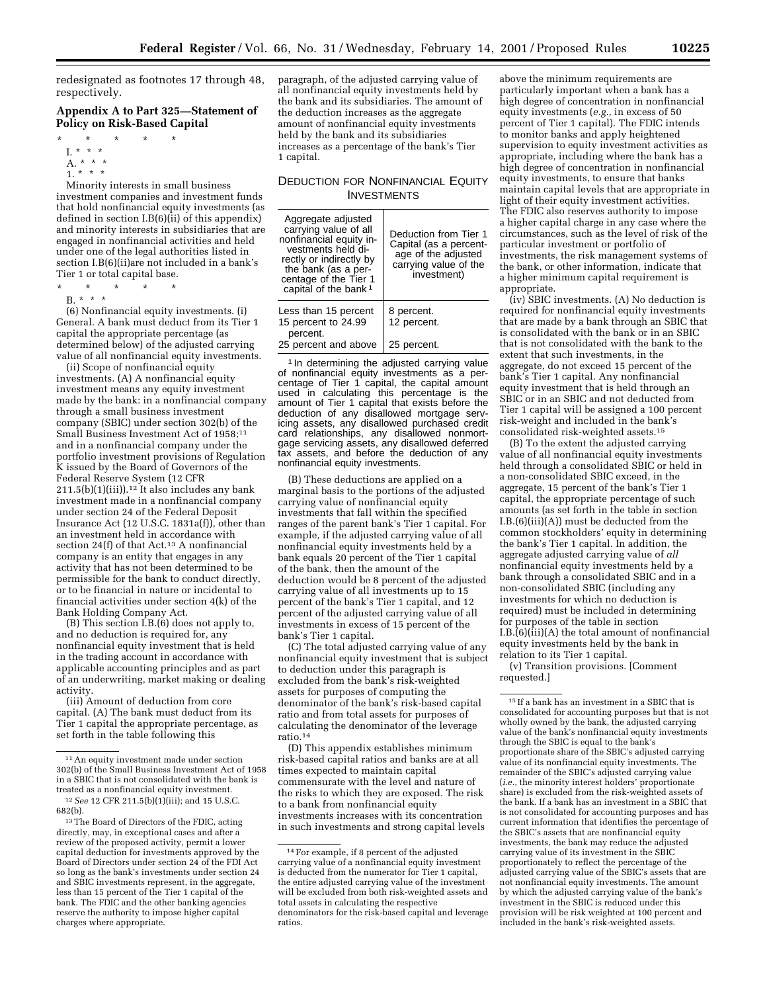redesignated as footnotes 17 through 48, respectively.

## **Appendix A to Part 325—Statement of Policy on Risk-Based Capital**

- \* \* \* \* \*
- I. \* \* \*
- A. \* \* \*
- 1. \* \* \*

Minority interests in small business investment companies and investment funds that hold nonfinancial equity investments (as defined in section  $I.B(6)(ii)$  of this appendix) and minority interests in subsidiaries that are engaged in nonfinancial activities and held under one of the legal authorities listed in section I.B(6)(ii)are not included in a bank's Tier 1 or total capital base.

- \* \* \* \* \*
- B. \* \* \*

(6) Nonfinancial equity investments. (i) General. A bank must deduct from its Tier 1 capital the appropriate percentage (as determined below) of the adjusted carrying value of all nonfinancial equity investments.

(ii) Scope of nonfinancial equity investments. (A) A nonfinancial equity investment means any equity investment made by the bank: in a nonfinancial company through a small business investment company (SBIC) under section 302(b) of the Small Business Investment Act of 1958;11 and in a nonfinancial company under the portfolio investment provisions of Regulation K issued by the Board of Governors of the Federal Reserve System (12 CFR  $211.5(b)(1)(iii)$ .<sup>12</sup> It also includes any bank investment made in a nonfinancial company under section 24 of the Federal Deposit Insurance Act (12 U.S.C. 1831a(f)), other than an investment held in accordance with section 24(f) of that Act.<sup>13</sup> A nonfinancial company is an entity that engages in any activity that has not been determined to be permissible for the bank to conduct directly, or to be financial in nature or incidental to financial activities under section 4(k) of the Bank Holding Company Act.

(B) This section I.B.(6) does not apply to, and no deduction is required for, any nonfinancial equity investment that is held in the trading account in accordance with applicable accounting principles and as part of an underwriting, market making or dealing activity.

(iii) Amount of deduction from core capital. (A) The bank must deduct from its Tier 1 capital the appropriate percentage, as set forth in the table following this

paragraph, of the adjusted carrying value of all nonfinancial equity investments held by the bank and its subsidiaries. The amount of the deduction increases as the aggregate amount of nonfinancial equity investments held by the bank and its subsidiaries increases as a percentage of the bank's Tier 1 capital.

# DEDUCTION FOR NONFINANCIAL EQUITY INVESTMENTS

| Aggregate adjusted<br>carrying value of all<br>nonfinancial equity in-<br>vestments held di-<br>rectly or indirectly by<br>the bank (as a per-<br>centage of the Tier 1<br>capital of the bank <sup>1</sup> | Deduction from Tier 1<br>Capital (as a percent-<br>age of the adjusted<br>carrying value of the<br>investment) |
|-------------------------------------------------------------------------------------------------------------------------------------------------------------------------------------------------------------|----------------------------------------------------------------------------------------------------------------|
| Less than 15 percent<br>15 percent to 24.99<br>percent.                                                                                                                                                     | 8 percent.<br>12 percent.                                                                                      |
| 25 percent and above                                                                                                                                                                                        | 25 percent.                                                                                                    |

<sup>1</sup> In determining the adjusted carrying value of nonfinancial equity investments as a percentage of Tier 1 capital, the capital amount used in calculating this percentage is the amount of Tier 1 capital that exists before the deduction of any disallowed mortgage servicing assets, any disallowed purchased credit card relationships, any disallowed nonmortgage servicing assets, any disallowed deferred tax assets, and before the deduction of any nonfinancial equity investments.

(B) These deductions are applied on a marginal basis to the portions of the adjusted carrying value of nonfinancial equity investments that fall within the specified ranges of the parent bank's Tier 1 capital. For example, if the adjusted carrying value of all nonfinancial equity investments held by a bank equals 20 percent of the Tier 1 capital of the bank, then the amount of the deduction would be 8 percent of the adjusted carrying value of all investments up to 15 percent of the bank's Tier 1 capital, and 12 percent of the adjusted carrying value of all investments in excess of 15 percent of the bank's Tier 1 capital.

(C) The total adjusted carrying value of any nonfinancial equity investment that is subject to deduction under this paragraph is excluded from the bank's risk-weighted assets for purposes of computing the denominator of the bank's risk-based capital ratio and from total assets for purposes of calculating the denominator of the leverage ratio.14

(D) This appendix establishes minimum risk-based capital ratios and banks are at all times expected to maintain capital commensurate with the level and nature of the risks to which they are exposed. The risk to a bank from nonfinancial equity investments increases with its concentration in such investments and strong capital levels

above the minimum requirements are particularly important when a bank has a high degree of concentration in nonfinancial equity investments (*e.g.,* in excess of 50 percent of Tier 1 capital). The FDIC intends to monitor banks and apply heightened supervision to equity investment activities as appropriate, including where the bank has a high degree of concentration in nonfinancial equity investments, to ensure that banks maintain capital levels that are appropriate in light of their equity investment activities. The FDIC also reserves authority to impose a higher capital charge in any case where the circumstances, such as the level of risk of the particular investment or portfolio of investments, the risk management systems of the bank, or other information, indicate that a higher minimum capital requirement is appropriate.

(iv) SBIC investments. (A) No deduction is required for nonfinancial equity investments that are made by a bank through an SBIC that is consolidated with the bank or in an SBIC that is not consolidated with the bank to the extent that such investments, in the aggregate, do not exceed 15 percent of the bank's Tier 1 capital. Any nonfinancial equity investment that is held through an SBIC or in an SBIC and not deducted from Tier 1 capital will be assigned a 100 percent risk-weight and included in the bank's consolidated risk-weighted assets.15

(B) To the extent the adjusted carrying value of all nonfinancial equity investments held through a consolidated SBIC or held in a non-consolidated SBIC exceed, in the aggregate, 15 percent of the bank's Tier 1 capital, the appropriate percentage of such amounts (as set forth in the table in section I.B.(6)(iii)(A)) must be deducted from the common stockholders' equity in determining the bank's Tier 1 capital. In addition, the aggregate adjusted carrying value of *all* nonfinancial equity investments held by a bank through a consolidated SBIC and in a non-consolidated SBIC (including any investments for which no deduction is required) must be included in determining for purposes of the table in section I.B. $(6)(iii)(A)$  the total amount of nonfinancial equity investments held by the bank in relation to its Tier 1 capital.

(v) Transition provisions. [Comment requested.]

 $^{\rm 15}$  If a bank has an investment in a SBIC that is consolidated for accounting purposes but that is not wholly owned by the bank, the adjusted carrying value of the bank's nonfinancial equity investments through the SBIC is equal to the bank's proportionate share of the SBIC's adjusted carrying value of its nonfinancial equity investments. The remainder of the SBIC's adjusted carrying value (*i.e.,* the minority interest holders' proportionate share) is excluded from the risk-weighted assets of the bank. If a bank has an investment in a SBIC that is not consolidated for accounting purposes and has current information that identifies the percentage of the SBIC's assets that are nonfinancial equity investments, the bank may reduce the adjusted carrying value of its investment in the SBIC proportionately to reflect the percentage of the adjusted carrying value of the SBIC's assets that are not nonfinancial equity investments. The amount by which the adjusted carrying value of the bank's investment in the SBIC is reduced under this provision will be risk weighted at 100 percent and included in the bank's risk-weighted assets.

<sup>11</sup>An equity investment made under section 302(b) of the Small Business Investment Act of 1958 in a SBIC that is not consolidated with the bank is treated as a nonfinancial equity investment.

<sup>12</sup>*See* 12 CFR 211.5(b)(1)(iii); and 15 U.S.C. 682(b).

<sup>13</sup>The Board of Directors of the FDIC, acting directly, may, in exceptional cases and after a review of the proposed activity, permit a lower capital deduction for investments approved by the Board of Directors under section 24 of the FDI Act so long as the bank's investments under section 24 and SBIC investments represent, in the aggregate, less than 15 percent of the Tier 1 capital of the bank. The FDIC and the other banking agencies reserve the authority to impose higher capital charges where appropriate.

<sup>14</sup>For example, if 8 percent of the adjusted carrying value of a nonfinancial equity investment is deducted from the numerator for Tier 1 capital, the entire adjusted carrying value of the investment will be excluded from both risk-weighted assets and total assets in calculating the respective denominators for the risk-based capital and leverage ratios.